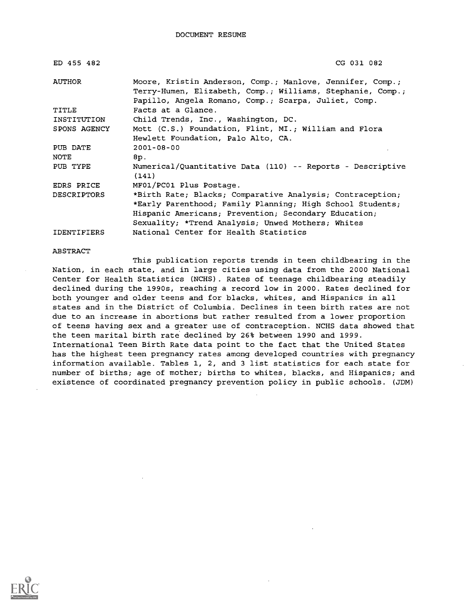| ED 455 482   | CG 031 082                                                                                                              |
|--------------|-------------------------------------------------------------------------------------------------------------------------|
| AUTHOR       | Moore, Kristin Anderson, Comp.; Manlove, Jennifer, Comp.;<br>Terry-Humen, Elizabeth, Comp.; Williams, Stephanie, Comp.; |
|              | Papillo, Angela Romano, Comp.; Scarpa, Juliet, Comp.                                                                    |
| TITLE        | Facts at a Glance.                                                                                                      |
| INSTITUTION  | Child Trends, Inc., Washington, DC.                                                                                     |
| SPONS AGENCY | Mott (C.S.) Foundation, Flint, MI.; William and Flora                                                                   |
|              | Hewlett Foundation, Palo Alto, CA.                                                                                      |
| PUB DATE     | $2001 - 08 - 00$                                                                                                        |
| NOTE         | 8p.                                                                                                                     |
| PUB TYPE     | Numerical/Quantitative Data (110) -- Reports - Descriptive<br>(141)                                                     |
| EDRS PRICE   | MF01/PC01 Plus Postage.                                                                                                 |
| DESCRIPTORS  | *Birth Rate; Blacks; Comparative Analysis; Contraception;                                                               |
|              | *Early Parenthood; Family Planning; High School Students;                                                               |
|              | Hispanic Americans; Prevention; Secondary Education;                                                                    |
|              | Sexuality; *Trend Analysis; Unwed Mothers; Whites                                                                       |
| IDENTIFIERS  | National Center for Health Statistics                                                                                   |

#### ABSTRACT

This publication reports trends in teen childbearing in the Nation, in each state, and in large cities using data from the 2000 National Center for Health Statistics (NCHS) . Rates of teenage childbearing steadily declined during the 1990s, reaching a record low in 2000. Rates declined for both younger and older teens and for blacks, whites, and Hispanics in all states and in the District of Columbia. Declines in teen birth rates are not due to an increase in abortions but rather resulted from a lower proportion of teens having sex and a greater use of contraception. NCHS data showed that the teen marital birth rate declined by 26% between 1990 and 1999. International Teen Birth Rate data point to the fact that the United States has the highest teen pregnancy rates among developed countries with pregnancy information available. Tables 1, 2, and 3 list statistics for each state for number of births; age of mother; births to whites, blacks, and Hispanics; and existence of coordinated pregnancy prevention policy in public schools. (JDM)

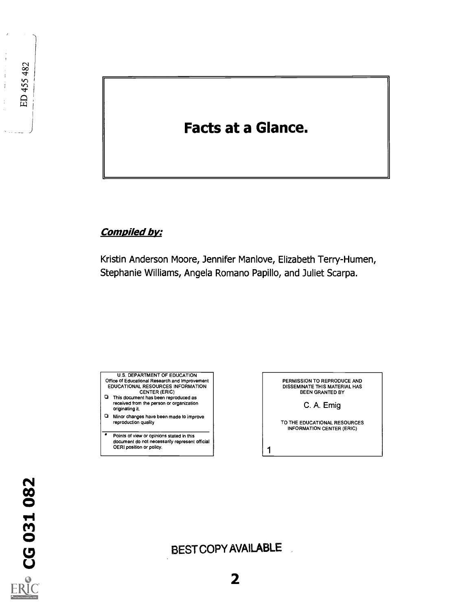### Facts at a Glance.

### Compiled by:

Kristin Anderson Moore, Jennifer Manlove, Elizabeth Terry-Humen, Stephanie Williams, Angela Romano Papillo, and Juliet Scarpa.



- 0 This document has been reproduced as received from the person or organization originating it.
- Minor changes have been made to improve reproduction quality
- Points of view or opinions stated in this 7 document do not necessarily represent official OERI position or policy.

PERMISSION TO REPRODUCE AND DISSEMINATE THIS MATERIAL HAS<br>BEEN GRANTED BY

C. A. Emig

TO THE EDUCATIONAL RESOURCES INFORMATION CENTER (ERIC)

1

## BEST COPY AVAILABLE

ED 455 482

 $\bar{1}$  $\frac{1}{2}$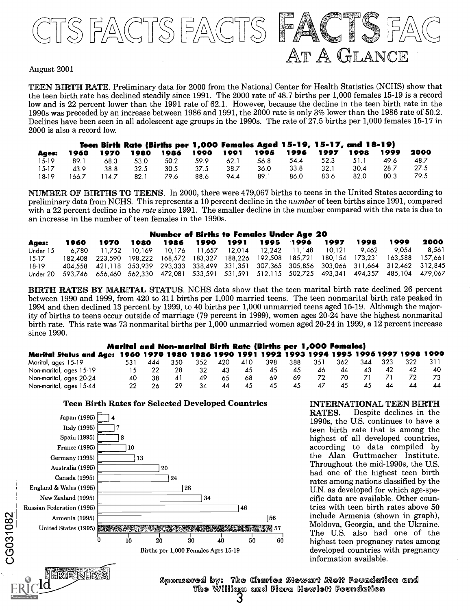

#### August 2001

TEEN BIRTH IRATE. Preliminary data for 2000 from the National Center for Health Statistics (NCHS) show that the teen birth rate has declined steadily since 1991. The 2000 rate of 48.7 births per 1,000 females 15-19 is a record low and is 22 percent lower than the 1991 rate of 62.1. However, because the decline in the teen birth rate in the 1990s was preceded by an increase between 1986 and 1991, the 2000 rate is only 3% lower than the 1986 rate of 50.2. Declines have been seen in all adolescent age groups in the 1990s. The rate of 27.5 births per 1,000 females 15-17 in 2000 is also a record low.

|         |       |       |      | Teen Birth Rate (Births per 1,000 Females Aged 15-19, 15-17, and 18-19) |      |      |      |      |      |      |      |      |
|---------|-------|-------|------|-------------------------------------------------------------------------|------|------|------|------|------|------|------|------|
| Ages:   | 1960  | 1970  |      | 1980 1986                                                               | 1990 | 1991 | 1995 | 1996 | 1997 | 1998 | 1999 | 2000 |
| $15-19$ | 89.1  | 68.3  | 53.0 | 50.2                                                                    | 59.9 | 62.1 | 56.8 | 54.4 | 52.3 | 51.1 | 49.6 | 48.7 |
| $15-17$ | 43.9  | 38.8  | 32.5 | 30.5                                                                    | 37.5 | 38.7 | 36.0 | 33.8 | 32.1 | 30.4 | 28.7 | 27.5 |
| 18-19   | 166.7 | 114.7 | 82.1 | 79.6                                                                    | 88.6 | 94.4 | 89.1 | 86.0 | 83.6 | 82.0 | 80.3 | 79.5 |

NUM ER OF BIRTHS TO TEENS. In 2000, there were 479,067 births to teens in the United States according to preliminary data from NCHS. This represents a 10 percent decline in the number of teen births since 1991, compared with a 22 percent decline in the rate since 1991. The smaller decline in the number compared with the rate is due to an increase in the number of teen females in the 1990s.

### Number of Births to Females Under Age 20

|          |  |  |  |  |       | -2000                                                                                                                                                                                                                                                                                                                                                                                                                                           |
|----------|--|--|--|--|-------|-------------------------------------------------------------------------------------------------------------------------------------------------------------------------------------------------------------------------------------------------------------------------------------------------------------------------------------------------------------------------------------------------------------------------------------------------|
| Under 15 |  |  |  |  | 9.054 | - 8.561                                                                                                                                                                                                                                                                                                                                                                                                                                         |
|          |  |  |  |  |       |                                                                                                                                                                                                                                                                                                                                                                                                                                                 |
|          |  |  |  |  |       |                                                                                                                                                                                                                                                                                                                                                                                                                                                 |
|          |  |  |  |  |       |                                                                                                                                                                                                                                                                                                                                                                                                                                                 |
|          |  |  |  |  |       | 1960 1970 1980 1986 1990 1991 1995 1996 1997 1998 1999<br>6,780 11,752 10,169 10,176 11,657 12,014 12,242 11,148 10,121 9,462<br>182,408 223,590 198,222 168,572 183,327 188,226 192,508 185,721 180,154 173,231 163,588 157,661<br>404,558 421,118 353,939 293,333 338,499 331,351 307,365 305,856 303,066 311,664 312,462 312,845<br>Under 20 593,746 656,460 562,330 472,081 533,591 531,591 512,115 502,725 493,341 494,357 485,104 479,067 |

BIRTH RATES BY MARITAL STATUS. NCHS data show that the teen marital birth rate declined 26 percent between 1990 and 1999, from 420 to 311 births per 1,000 married teens. The teen nonmarital birth rate peaked in 1994 and then declined 13 percent by 1999, to 40 births per 1,000 unmarried teens aged 15-19. Although the majority of births to teens occur outside of marriage (79 percent in 1999), women ages 20-24 have the highest nonmarital birth rate. This rate was 73 nonmarital births per 1,000 unmarried women aged 20-24 in 1999, a 12 percent increase since 1990.

#### Marital and Non-marital Birth Rate (Births per 1,000 Females)

| 531 | 444 | 352   | - 420 | 410 | 398 | 388  | 351 | 362 | 323 | 322 |                                                                                               |
|-----|-----|-------|-------|-----|-----|------|-----|-----|-----|-----|-----------------------------------------------------------------------------------------------|
|     |     | 32    | 43    | -45 | 45  | 45   | 46  | 44  |     |     | 40                                                                                            |
| 40  |     | 49    | 65    | 68  | 69  | -69. |     |     |     |     |                                                                                               |
|     |     | 34    | 44    | 45  | 45  | 45   | 47  | 45  |     |     |                                                                                               |
|     |     | - 350 |       |     |     |      |     |     |     | 344 | Marital Status and Age: 1960 1970 1980 1986 1990 1991 1992 1993 1994 1995 1996 1997 1998 1999 |

#### Teen Birth Rates for Selected Developed Countries



**INTERNATIONAL TEEN BIRTH<br>RATES.** Despite declines in the Despite declines in the 1990s, the U.S. continues to have a teen birth rate that is among the highest of all developed countries, according to data compiled by the Alan Guttmacher Institute.<br>Throughout the mid-1990s, the U.S. had one of the highest teen birth rates among nations classified by the U.N. as developed for which age-specific data are available. Other countries with teen birth rates above 50 include Armenia (shown in graph), Moldova, Georgia, and the Ukraine. The U.S. also had one of the highest teen pregnancy rates among developed countries with pregnancy information available.



Sponsored by: The Charles Stewart Mott Foundation and The William and Flora HewleM Foundation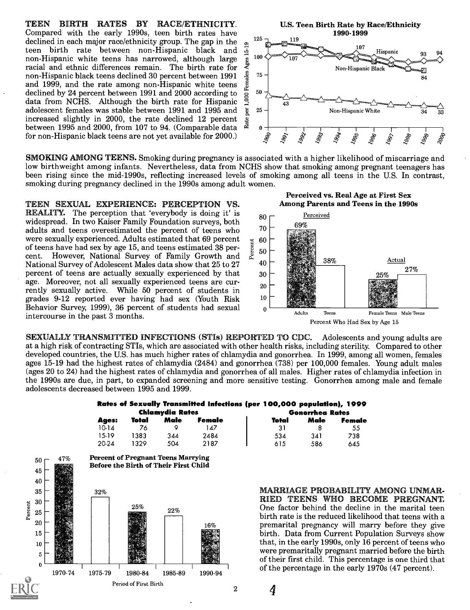TEEN BIRTH RATES BY RACE/ETHNICITY. Compared with the early 1990s, teen birth rates have<br>declined in each main receptibility mean The gap in the  $^{125}$ declined in each major race/ethnicity group. The gap in the  $\frac{1}{2}$  teen birth rate between non-Hispanic black and  $\frac{1}{2}$  non-Hispanic white teens has narrowed, although large gracial and ethnic differences remain. T teen birth rate between non-Hispanic black and  $\frac{1}{2}$ <br>non-Hispanic white teens has narrowed although large  $\frac{1}{2}$  100 non-Hispanic white teens has narrowed, although large racial and ethnic differences remain. The birth rate for  $\frac{3}{4}$  non-Hispanic black teens declined 30 percent between 1991 and 1999, and the rate among non-Hispanic white teens non-Hispanic black teens declined 30 percent between 1991 and 1999, and the rate among non-Hispanic white teens declined by 24 percent between 1991 and 2000 according to  $\frac{1}{8}$  data from NCHS. Although the birth rate for Hispanic data from NCHS. Although the birth rate for Hispanic  $\frac{5}{4}$  adolescent females was stable between 1991 and 1995 and  $\frac{1}{8}$ adolescent females was stable between 1991 and 1995 and increased slightly in 2000, the rate declined 12 percent  $\frac{5}{8}$  between 1995 and 2000 from 107 to 94 (Comparable data) between 1995 and 2000, from 107 to 94. (Comparable data  $\stackrel{\cong}{\approx} 0 \stackrel{\cong}{\approx} 0$  for non-Hispanic black teens are not yet available for 2000.) for non-Hispanic black teens are not yet available for 2000.)

SMOKING AMONG TEENS. Smoking during pregnancy is associated with a higher likelihood of miscarriage and low birthweight among infants. Nevertheless, data from NCHS show that smoking among pregnant teenagers has been rising since the mid-1990s, reflecting increased levels of smoking among all teens in the U.S. In contrast, smoking during pregnancy declined in the 1990s among adult women.

TEEN SEXUAL EXPERIENCE: PERCEPTION VS. **REALITY.** The perception that 'everybody is doing it' is widespread. In two Kaiser Family Foundation surveys, both adults and teens overestimated the percent of teens who were sexually experienced. Adults estimated that 69 percent of teens have had sex by age 15, and teens estimated 38 percent. However, National Survey of Family Growth and  $\alpha$ of teens have had sex by age 15, and teens estimated 38 percent. However, National Survey of Family Growth and National Survey of Adolescent Males data show that 25 to 27 percent of teens are actually sexually experienced by that age. Moreover, not all sexually experienced teens are currently sexually active. While 50 percent of students in grades 9-12 reported ever having had sex (Youth Risk Behavior Survey, 1999), 36 percent of students had sexual intercourse in the past 3 months.

Perceived vs. Real Age at First Sex Among Parents and Teens in the 1990s



SEXUALLY TRANSMITTED INFECTIONS (STIs) REPORTED TO CDC. Adolescents and young adults are at a high risk of contracting STIs, which are associated with other health risks, including sterility. Compared to other developed countries, the U.S. has much higher rates of chlamydia and gonorrhea. In 1999, among all women, females ages 15-19 had the highest rates of chlamydia (2484) and gonorrhea (738) per 100,000 females. Young adult males (ages 20 to 24) had the highest rates of chlamydia and gonorrhea of all males. Higher rates of chlamydia infection in the 1990s are due, in part, to expanded screening and more sensitive testing. Gonorrhea among male and female adolescents decreased between 1995 and 1999.

#### Rates of Sexually Transmitted Infections (per 100,000 population), 1999 Chlamydia Rates Gonorrhea Rates

|              | -------------- |      |        |       |      |        |  |
|--------------|----------------|------|--------|-------|------|--------|--|
| <b>Ages:</b> | Total          | Male | Female | Total | Male | Female |  |
| 10.14        | -76            |      | 47     | -31   |      | 55     |  |
| 15-19        | 1383           | 344  | 2484   | 534   | 341  | 738    |  |
| 20-24        | 1329           | 504  | 2187   | 615   | 586  | 645    |  |

4



#### MARRIAGE PROBABILITY AMONG UNMAR-RIED TEENS WHO BECOME PREGNANT. One factor behind the decline in the marital teen birth rate is the reduced likelihood that teens with a premarital pregnancy will marry before they give birth. Data from Current Population Surveys show that, in the early 1990s, only 16 percent of teens who were premaritally pregnant married before the birth of their first child. This percentage is one third that of the percentage in the early 1970s (47 percent).

1990-1999

U.S. Teen Birth Rate by Race/Ethnicity

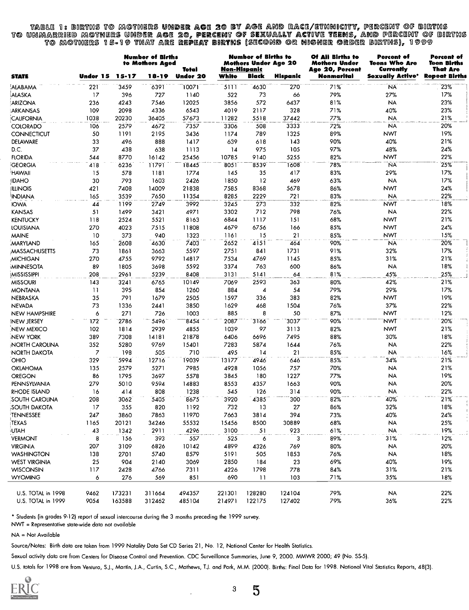ble 1: births to mothers under age 20 by age and race/ethnicity, percent of births to unmarried motners u to mothers 15-19 th $\iota$ thers under age 20, percent of sexu 1*5*-19 that are repeat births of sexually ac births (Second or high ually active teens, and percent of births or higher order births), 1999

|                      |                 |        | <b>Number of Births</b><br>to Mothers Aged | Total           |        | <b>Number of Births to</b><br>Non-Hispanic | <b>Mothers Under Age 20</b> | Of All Births to<br><b>Mothers Under</b><br><b>Age 20, Percent</b> | Percent of<br><b>Teens Who Are</b><br>Currently | Percent of<br>Teen Births<br>That Are<br><b>Repeat Births</b> |  |
|----------------------|-----------------|--------|--------------------------------------------|-----------------|--------|--------------------------------------------|-----------------------------|--------------------------------------------------------------------|-------------------------------------------------|---------------------------------------------------------------|--|
| <b>STATE</b>         | Under 15        | 15-17  | 18-19                                      | <b>Under 20</b> | White  | Black                                      | Hispanic                    | Nonmarital                                                         | Sexually Active*                                |                                                               |  |
| ALABAMA              | 221             | 3459   | 6391                                       | 10071           | 5111   | 4630                                       | 270                         | 71%                                                                | <b>NA</b>                                       | 23%                                                           |  |
| ALASKA               | 17              | 396    | 727                                        | 1140            | 522    | 73                                         | 66                          | 79%                                                                | 27%                                             | 17%                                                           |  |
| ARIZONA              | 236             | 4243   | 7546                                       | 12025           | 3856   | 572                                        | 6437                        | 81%                                                                | <b>NA</b>                                       | 23%                                                           |  |
| ARKANSAS             | 109             | 2098   | 4336                                       | 6543            | 4019   | 2117                                       | 328                         | 71%                                                                | 40%                                             | 23%                                                           |  |
| CALIFORNIA           | 1038            | 20230  | 36405                                      | 57673           | 11282  | 5518                                       | 37442                       | 77%                                                                | <b>NA</b>                                       | 21%                                                           |  |
| COLORADO             | 106             | 2579   | 4672                                       | 7357            | 3306   | 508                                        | 3333                        | 72%                                                                | <b>NA</b>                                       | 20%                                                           |  |
| <b>CONNECTICUT</b>   | 50              | 1191   | 2195                                       | 3436            | 1174   | 789                                        | 1325                        | 89%                                                                | <b>NWT</b>                                      | 19%                                                           |  |
| DELAWARE             | 33              | 496    | 888                                        | 1417            | 639    | 618                                        | 143                         | 90%                                                                | 40%                                             | 21%                                                           |  |
| D.C.                 | 37              | 438    | 638                                        | 1113            | 14     | 975                                        | 105                         | 97%                                                                | 48%                                             | 24%                                                           |  |
| <b>FLORIDA</b>       | 544             | 8770   | 16142                                      | 25456           | 10785  | 9140                                       | 5255                        | 82%                                                                | NWT                                             | 22%                                                           |  |
| GEORGIA              | 418             | 6236   | 11791                                      | 18445           | 8051   | 8539                                       | 1608                        | 78%                                                                | <b>NA</b>                                       | 25%                                                           |  |
|                      | 15              | 578    |                                            | 1774            | 145    | 35                                         | 417                         | 83%                                                                | 29%                                             | 17%                                                           |  |
| <b>HAWAII</b>        |                 |        | 1181                                       |                 |        |                                            |                             |                                                                    |                                                 |                                                               |  |
| IDAHO                | 30              | 793    | 1603                                       | 2426            | 1850   | 12                                         | 469                         | 63%                                                                | <b>NA</b>                                       | 17%                                                           |  |
| ILLINOIS             | 421             | 7408   | 14009                                      | 21838           | 7585   | 8368                                       | 5678                        | 86%                                                                | NWT                                             | 24%                                                           |  |
| INDIANA              | 165             | 3539   | 7650                                       | 11354           | 8285   | 2229                                       | 721                         | 83%                                                                | <b>NA</b>                                       | 22%                                                           |  |
| <b>IOWA</b>          | 44              | 1199   | 2749                                       | 3992            | 3245   | 273                                        | 332                         | 82%                                                                | <b>NWT</b>                                      | 18%                                                           |  |
| <b>KANSAS</b>        | 51              | 1499   | 3421                                       | 4971            | 3302   | 712                                        | 798                         | 76%                                                                | <b>NA</b>                                       | 22%                                                           |  |
| <b>KENTUCKY</b>      | 118             | 2524   | 5521                                       | 8163            | 6844   | 1117                                       | 151                         | 68%                                                                | <b>NWT</b>                                      | 21%                                                           |  |
| <b>LOUISIANA</b>     | 270             | 4023   | 7515                                       | 11808           | 4679   | 6756                                       | 166                         | 85%                                                                | NWT                                             | 24%                                                           |  |
| <b>MAINE</b>         | 10              | 373    | 940                                        | 1323            | 1161   | 15                                         | 21                          | 85%                                                                | <b>NWT</b>                                      | 15%                                                           |  |
| <b>MARYLAND</b>      | 165             | 2608   | 4630                                       | 7403            | 2652   | 4151                                       | 464                         | 90%                                                                | <b>NA</b>                                       | 20%                                                           |  |
| <b>MASSACHUSETTS</b> | 73              | 1861   | 3663                                       | 5597            | 2751   | 841                                        | 1731                        | 91%                                                                | 32%                                             | 17%                                                           |  |
| <b>MICHIGAN</b>      | 270             | 4755   | 9792                                       | 14817           | 7534   | 4769                                       | 1145                        | 85%                                                                | 31%                                             | 21%                                                           |  |
| MINNESOTA            | 89              | 1805   | 3698                                       | 5592            | 3374   | 763                                        | 600                         | 86%                                                                | <b>NA</b>                                       | 18%                                                           |  |
| <b>MISSISSIPPI</b>   | 208             | 2961   | 5239                                       | 8408            | 3131   | 5141                                       | 64                          | 81%                                                                | 45%                                             | 25%                                                           |  |
| <b>MISSOURI</b>      | 143             | 3241   | 6765                                       | 10149           | 7069   | 2593                                       | 363                         | 80%                                                                | 42%                                             | 21%                                                           |  |
| <b>MONTANA</b>       | $\overline{11}$ | 395    | 854                                        | 1260            | 884    | 4                                          | 54                          | 79%                                                                | 29%                                             | 17%                                                           |  |
| NEBRASKA             | 35              | 791    | 1679                                       | 2505            | 1597   | 336                                        | 383                         | 82%                                                                | NWT                                             | 19%                                                           |  |
| <b>NEVADA</b>        | 73              | 1336   | 2441                                       | 3850            | 1629   | 468                                        | 1504                        | 76%                                                                | 37%                                             | 22%                                                           |  |
| <b>NEW HAMPSHIRE</b> | 6               | 271    | 726                                        | 1003            | 885    | 8                                          | 50                          | 87%                                                                | <b>NWT</b>                                      | 12%                                                           |  |
| INEW JERSEY          | 172             | 2786   | 5496                                       | 8454            | 2087   | 3166                                       | 3037                        | 90%                                                                | NWT                                             | 20%                                                           |  |
| NEW MEXICO           | 102             | 1814   | 2939                                       | 4855            | 1039   | 97                                         | 3113                        | 82%                                                                | NWT                                             | 21%                                                           |  |
| <b>NEW YORK</b>      | 389             | 7308   | 14181                                      | 21878           | 6406   | 6696                                       | 7495                        | 88%                                                                | 30%                                             | 18%                                                           |  |
| NORTH CAROLINA       | 352             | 5280   | 9769                                       | 15401           | 7283   | 5874                                       | 1644                        | 76%                                                                | <b>NA</b>                                       | 22%                                                           |  |
| <b>NORTH DAKOTA</b>  | $\overline{z}$  | 198    | 505                                        | 710             | 495    | 14                                         | 21                          | 85%                                                                | <b>NA</b>                                       | 16%                                                           |  |
| OHIO                 | 329             | 5994   | 12716                                      | 19039           | 13177  | 4946                                       | 646                         | 85%                                                                | 34%                                             | 21%                                                           |  |
| <b>OKLAHOMA</b>      | 135             | 2579   | 5271                                       | 7985            | 4928   | 1056                                       | 757                         | 70%                                                                | <b>NA</b>                                       | 21%                                                           |  |
| OREGON               | 86              | 1795   | 3697                                       | 5578            | 3845   | 180                                        | 1227                        | 77%                                                                | <b>NA</b>                                       | 19%                                                           |  |
| PENNSYLVANIA         | 279             | 5010   | 9594                                       | 14883           | 8553   | 4357                                       | 1663                        | 90%                                                                | <b>NA</b>                                       | 20%                                                           |  |
| <b>RHODE ISLAND</b>  | 16              | 414    | 808                                        | 1238            | 545    | 126                                        | 314                         | 90%                                                                | <b>NA</b>                                       | 22%                                                           |  |
| SOUTH CAROLINA       | 208             | 3062   | 5405                                       | 8675            | 3920   | 4385                                       | 300                         | 82%                                                                | 40%                                             | 21%                                                           |  |
|                      |                 |        |                                            |                 |        |                                            |                             |                                                                    |                                                 |                                                               |  |
| SOUTH DAKOTA         | 17              | 355    | 820                                        | 1192            | 732    | 13                                         | 27                          | 86%                                                                | 32%                                             | 18%                                                           |  |
| TENNESSEE            | 247             | 3860   | 7863                                       | 11970           | 7663   | 3814                                       | 394                         | 73%                                                                | 40%                                             | 24%                                                           |  |
| TEXAS                | 1165            | 20121  | 34246                                      | 55532           | 15456  | 8500                                       | 30889                       | 68%                                                                | <b>NA</b>                                       | 25%                                                           |  |
| UTAH                 | 43              | 1342   | 2911                                       | 4296            | 3100   | 51                                         | 923                         | 61%                                                                | <b>NA</b>                                       | 19%                                                           |  |
| <b>VERMONT</b>       | 8               | 156    | 393                                        | 557             | 525    | 6                                          | 3                           | 89%                                                                | 31%                                             | 12%                                                           |  |
| <b>VIRGINIA</b>      | 207             | 3109   | 6826                                       | 10142           | 4899   | 4326                                       | 769                         | 80%                                                                | <b>NA</b>                                       | 20%                                                           |  |
| <b>WASHINGTON</b>    | 138             | 2701   | 5740                                       | 8579            | 5191   | 505                                        | 1853                        | 76%                                                                | <b>NA</b>                                       | 18%                                                           |  |
| <b>WEST VIRGINIA</b> | 25              | 904    | 2140                                       | 3069            | 2850   | 184                                        | 23                          | 69%                                                                | 40%                                             | 19%                                                           |  |
| <b>WISCONSIN</b>     | 117             | 2428   | 4766                                       | 7311            | 4226   | 1798                                       | 778                         | 84%                                                                | 31%                                             | 21%                                                           |  |
| <b>WYOMING</b>       | 6               | 276    | 569                                        | 851             | 690    | $\overline{11}$                            | 103                         | 71%                                                                | 35%                                             | 18%                                                           |  |
| U.S. TOTAL in 1998   | 9462            | 173231 | 311664                                     | 494357          | 221301 | 128280                                     | 124104                      | 79%                                                                | <b>NA</b>                                       | 22%                                                           |  |
| U.S. TOTAL in 1999   | 9054            | 163588 | 312462                                     | 485104          | 214971 | 122175                                     | 127402                      | 79%                                                                | 36%                                             | 22%                                                           |  |
|                      |                 |        |                                            |                 |        |                                            |                             |                                                                    |                                                 |                                                               |  |

\* Students (in grades 9-12) report of sexual intercourse during the 3 months preceding the 1999 survey.

NWT = Representative state-wide data not available

NA = Not Available

Source/Notes: Birth data are taken from 1999 Natality Data Set CD Series 21, No. 12, National Center for Health Statistics.

Sexual activity data are from Centers for Disease Control and Prevention. CDC Surveillance Summaries, June 9, 2000. MMWR 2000; 49 (No. SS-5).

U.S. totals for 1998 are from Ventura, S.J., Martin, J.A., Curtin, S.C., Mathews, T.J. and Park, M.M. (2000). Births: Final Data for 1998. National Vital Statistics Reports, 48(3).



<sup>3</sup> 5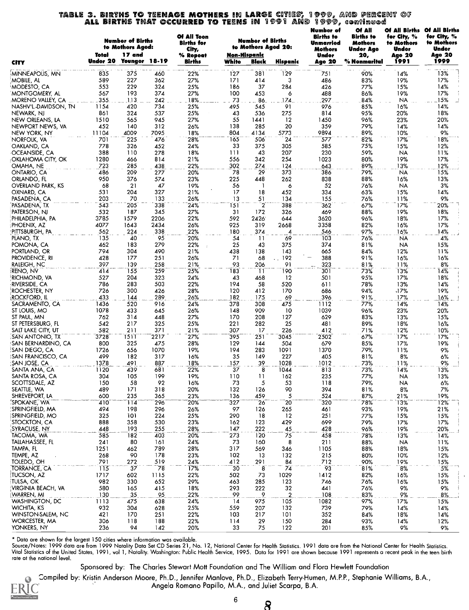## TABLE 3. BIRTHS TO TEENAGE MOTHERS IN LARGE CITIES, 1999, AND PERCENT OF ALL BIRTHS THAT OCCURRED TO TEENS IN 1991 AND 1999, continued

| Non-Hispanic<br>Under 20<br>1999<br>Younger 18-19<br>1991<br>Births<br>White<br>Black<br>Hispanic<br>Age 20<br>% Nonmarital<br><b>CITY</b><br>13%<br>835<br>375<br>460<br>381<br>129<br>14%<br>MINNEAPOLIS, MN<br>22%<br>127<br>90%<br>751<br>27%<br>17%<br>MOBILE, AL<br>589<br>227<br>362<br>171<br>414<br>3<br>83%<br>19%<br>486<br>553<br>229<br>324<br>186<br>37<br>284<br>15%<br>14%<br>MODESTO, CA<br>25%<br>426<br>77%<br>27%<br>100<br>17%<br>567<br>193<br>374<br>453<br>6<br>488<br>86%<br>19%<br>MONTGOMERY, AL<br>1.8%<br>73<br>.15%<br>355<br>.1.13.<br>242<br>86.<br>174.<br>297<br>84%<br>NA.<br>MORENO VALLEY, CA<br>- 1<br>14%<br>420<br>25%<br>91<br>85%<br>16%<br>1154<br>734<br>495<br>976<br>NASHV'L-DAVIDSON, TN<br>545<br>861<br>324<br>537<br>25%<br>43<br>536<br>275<br>814<br>95%<br>20%<br>18%<br>NEWARK, NJ<br>55<br>12<br>96%<br>1510<br>565<br>945<br>27%<br>1441<br>1450<br>23%<br>20%<br>NEW ORLEANS, LA<br>452<br>140<br>312<br>26%<br>138<br>285<br>20<br>359<br>79%<br>14%<br>NEWPORT NEWS, VA<br>14%<br>804<br>9894<br>89%<br>9%<br>11104<br>4009<br>7095<br>18%<br>4134<br>5773<br>10%<br>NEW YORK, NY<br>165<br>82%<br>17%<br>18%<br>701<br>225<br>476<br>28%<br>506<br>24<br>577<br>NORFOLK, VA<br>778<br>33<br>305<br>585<br>75%<br>15%<br>12%<br>326<br>452<br>24%<br>375<br>OAKLAND, CA<br>59%<br>388<br>110<br>278<br>18%<br>111<br>43<br>207<br>230<br><b>NA</b><br>OCEANSIDE, CA<br>11%<br>1280<br>21%<br>556<br>342<br>254<br>1023<br>80%<br>19%<br>17%<br>466<br>814<br>OKLAHOMA CITY, OK<br>13%<br>723<br>285<br>438<br>22%<br>302<br>274<br>124<br>643<br>89%<br>12%<br>OMAHA, NE<br>78<br>29<br>15%<br>486<br>209<br>277<br>20%<br>373<br>386<br>79%<br>NA<br>ONTARIO, CA<br>950<br>88%<br>16%<br>13%<br>376<br>574<br>23%<br>225<br>448<br>262<br>838<br>ORLANDO, FL<br>56<br>52<br><b>NA</b><br>3%<br><b>OVERLAND PARK, KS</b><br>68<br>21<br>47<br>19%<br>6<br>76%<br>J.<br>204<br>327<br>17<br>452<br>14%<br>OXNARD, CA<br>531<br>21%<br>18<br>334<br>63%<br>15%<br>203<br>70<br>133<br>26%<br>13<br>155<br>76%<br>11%<br>9%<br>PASADENA, CA<br>51<br>134<br>338<br>151<br>2<br>543<br>205<br>24%<br>388<br>17%<br>20%<br>362<br>67%<br>PASADENA, TX<br>18%<br>532<br>187<br>345<br>27%<br>31<br>172<br>326<br>469<br>88%<br>19%<br>PATERSON, NJ<br>3785<br>1579<br>22%<br>2426<br>17%<br>PHILADELPHIA, PA<br>2206<br>592<br>644<br>3620<br>96%<br>18%<br>4077<br>925<br>319<br>PHOENIX, AZ<br>1643<br>2434<br>26%<br>2668<br>3358<br>82%<br>16%<br>17%<br>562<br>338<br>22%<br>180<br>546<br>97%<br>16%<br>14%<br>∶PITTSBURGH, PA<br>224<br>374<br>4<br>135<br>4%<br>95<br>20%<br>54<br>69<br>103<br>76%<br>PLANO, TX<br>40<br>11<br>NA<br>279<br>81%<br>POMONA, CA<br>462<br>183<br>22%<br>25<br>374<br><b>NA</b><br>15%<br>43<br>375<br>304<br>490<br>138<br>84%<br>PORTLAND, OR<br>794<br>21%<br>438<br>143<br>665<br>12%<br>11%<br>192<br>388<br>91%<br>PROVIDENCE, RI<br>428<br>177<br>251<br>26%<br>71<br>68<br>16%<br>16%<br>397<br>139<br>258<br>21%<br>93<br>91<br>323<br>81%<br>11%<br>8%<br>RALEIGH, NC<br>206<br>14%<br>259<br>183<br>190<br>301<br>73%<br>13%<br>414<br>155<br>25%<br>-11<br>RENO, NV<br>95%<br>17%<br>18%<br>527<br>204<br>323<br>24%<br>43<br>12<br>501<br>RICHMOND, VA<br>468<br>503<br>786<br>283<br>22%<br>58<br>13%<br>14%<br>RIVERSIDE, CA<br>194<br>520<br>611<br>78%<br>300<br>19%<br>ROCHESTER, NY<br>726<br>426<br>28%<br>120<br>412<br>170<br>686<br>94%<br>17%،<br>433<br>144<br>289<br>26%<br>182<br>396<br>91%<br>17%<br>16%<br>ROCKFORD, IL<br>175<br>69<br>1436<br>916<br>24%<br>475<br>14%<br>14%<br>SACRAMENTO, CA<br>520<br>378<br>308<br>1112<br>77%<br>1078<br>433<br>26%<br>148<br>909<br>10<br>1039<br>96%<br>23%<br>20%<br>ST LOUIS, MO<br>645<br>170<br>629<br>ST PAUL, MN<br>762<br>314<br>448<br>27%<br>208<br>127<br>83%<br>13%<br>15%<br>25%<br>25<br>ST PETERSBURG, FL<br>542<br>217<br>325<br>221<br>282<br>481<br>89%<br>18%<br>16%<br>582<br>371<br>21%<br>307<br>17<br>226<br>412<br>71%<br>12%<br>SALT LAKE CITY, UT<br>211<br>10%<br>3728<br>27%<br>251<br>2502<br>17%<br>17%<br>1511<br>2217<br>395<br>3045<br>67%<br>SAN ANTONIO, TX<br>19%<br>800<br>325<br>475<br>28%<br>129<br>504<br>679<br>85%<br>17%<br>'SAN BERNARDINO, CA<br>144<br>194<br>1726<br>656<br>1070<br>19%<br>283<br>1091<br>1370<br>79%<br>11%<br>9%<br>SAN DIEGO, CA<br>499<br>317<br>35<br>149<br>227<br>81%<br>8%<br>6%<br>ISAN FRANCISCO, CA<br>182<br>16%<br>405<br>1378<br>887<br>18%<br>157<br>39<br>1028<br>1012<br>73%<br>11%<br>9%<br>SAN JOSE, CA<br>491<br>37<br>8<br>681<br>22%<br>73%<br>13%<br>SANTA ANA, CA<br>1120<br>439<br>1044<br>813<br>14%<br>SANTA ROSA, CA<br>304<br>199<br>19%<br>235<br>77%<br>13%<br>105<br>110<br>11<br>162<br><b>NA</b><br>73<br>5<br>53<br>SCOTTSDALE, AZ<br>150<br>58<br>92<br>16%<br>118<br>79%<br><b>NA</b><br>6%<br>SEATTLE, WA<br>489<br>20%<br>132<br>90<br>394<br>81%<br>8%<br>7%<br>171<br>318<br>126<br>SHREVEPORT, LA<br>23%<br>136<br>5<br>524<br>87%<br>21%<br>19%<br>600<br>235<br>365<br>459<br>12%<br>SPOKANE, WA<br>410<br>114<br>20%<br>327<br>-26<br>20<br>320<br>78%<br>13%<br>296<br>SPRINGFIELD, MA<br>494<br>97<br>93%<br>19%<br>21%<br>198<br>296<br>26%<br>126<br>265<br>461<br>25%<br>SPRINGFIELD, MO<br>325<br>101<br>224<br>290<br>18<br>12<br>251<br>77%<br>15%<br>15%<br>STOCKTON, CA<br>358<br>530<br>23%<br>123<br>699<br>17%<br>888<br>162<br>429<br>79%<br>17%<br>SYRACUSE, NY<br>255<br>28%<br>147<br>222<br>45<br>428<br>96%<br>19%<br>20%<br>448<br>193<br>585<br>273<br>TACOMA, WA<br>20%<br>120<br>75<br>458<br>13%<br>14%<br>182<br>403<br>78%<br>TALLAHASSEE, FL<br>24%<br>73<br>8<br>211<br>11%<br>241<br>80<br>161<br>160<br>88%<br><b>NA</b><br>317<br>TAMPA, FL<br>1251<br>789<br>28%<br>569<br>1105<br>88%<br>18%<br>15%<br>462<br>346<br>TEMPE, AZ<br>102<br>268<br>90<br>178<br>23%<br>132<br>215<br>80%<br>10%<br>12%<br>-13<br>791<br>712<br>19%<br>TOLEDO, OH<br>272<br>519<br>24%<br>412<br>291<br>84<br>90%<br>15%<br>ő<br>115<br>74<br>93<br>$8\%$<br>TORRANCE, CA<br>37<br>78<br>17%<br>30<br>81%<br>5%<br><b>TUCSON, AZ</b><br>1717<br>1115<br>22%<br>502<br>73<br>1029<br>1412<br>82%<br>16%<br>15%<br>602<br>tulsa, ok<br>982<br>330<br>652<br>29%<br>463<br>285<br>123<br>76%<br>16%<br>15%<br>746<br>VIRGINIA BEACH, VA<br>580<br>165<br>293<br>32<br>441<br>76%<br>9%<br>9%<br>415<br>18%<br>222<br>22%<br>99<br>$\overline{2}$<br>108<br>83%<br>9%<br>8%<br>WARREN, MI<br>130<br>35<br>95<br>9<br>WASHINGTON, DC<br>1113<br>638<br>24%<br>14<br>975<br>105<br>1082<br>97%<br>17%<br>15%<br>475<br>WICHITA, KS<br>25%<br>739<br>932<br>304<br>559<br>132<br>79%<br>14%<br>14%<br>628<br>207<br>WINSTON-SALEM, NC<br>421<br>22%<br>103<br>101<br>352<br>18%<br>170<br>251<br>217<br>84%<br>14%<br>WORCESTER, MA<br>306<br>188<br>114<br>93%<br>118<br>22%<br>29<br>150<br>284<br>14%<br>12%<br>YONKERS, NY<br>236<br>94<br>33<br>75<br>122<br>142<br>20%<br>201<br>85%<br>9%<br>9% |       | <b>Number of Births</b><br>to Mothers Aged: | Of All Teen<br><b>Births</b> for<br>City, | <b>Number of Births</b><br>to Mothers Aged 20: | Number of<br><b>Births</b> to<br>Unmarried<br>Mothers | <b>Of All</b><br><b>Births</b> to<br><b>Mothers</b><br><b>Under Age</b> | Of All Births<br>for City, %<br>to Mothers<br>Under | Of Ail Births<br>for City, %<br>to Mothers<br>Under |  |
|---------------------------------------------------------------------------------------------------------------------------------------------------------------------------------------------------------------------------------------------------------------------------------------------------------------------------------------------------------------------------------------------------------------------------------------------------------------------------------------------------------------------------------------------------------------------------------------------------------------------------------------------------------------------------------------------------------------------------------------------------------------------------------------------------------------------------------------------------------------------------------------------------------------------------------------------------------------------------------------------------------------------------------------------------------------------------------------------------------------------------------------------------------------------------------------------------------------------------------------------------------------------------------------------------------------------------------------------------------------------------------------------------------------------------------------------------------------------------------------------------------------------------------------------------------------------------------------------------------------------------------------------------------------------------------------------------------------------------------------------------------------------------------------------------------------------------------------------------------------------------------------------------------------------------------------------------------------------------------------------------------------------------------------------------------------------------------------------------------------------------------------------------------------------------------------------------------------------------------------------------------------------------------------------------------------------------------------------------------------------------------------------------------------------------------------------------------------------------------------------------------------------------------------------------------------------------------------------------------------------------------------------------------------------------------------------------------------------------------------------------------------------------------------------------------------------------------------------------------------------------------------------------------------------------------------------------------------------------------------------------------------------------------------------------------------------------------------------------------------------------------------------------------------------------------------------------------------------------------------------------------------------------------------------------------------------------------------------------------------------------------------------------------------------------------------------------------------------------------------------------------------------------------------------------------------------------------------------------------------------------------------------------------------------------------------------------------------------------------------------------------------------------------------------------------------------------------------------------------------------------------------------------------------------------------------------------------------------------------------------------------------------------------------------------------------------------------------------------------------------------------------------------------------------------------------------------------------------------------------------------------------------------------------------------------------------------------------------------------------------------------------------------------------------------------------------------------------------------------------------------------------------------------------------------------------------------------------------------------------------------------------------------------------------------------------------------------------------------------------------------------------------------------------------------------------------------------------------------------------------------------------------------------------------------------------------------------------------------------------------------------------------------------------------------------------------------------------------------------------------------------------------------------------------------------------------------------------------------------------------------------------------------------------------------------------------------------------------------------------------------------------------------------------------------------------------------------------------------------------------------------------------------------------------------------------------------------------------------------------------------------------------------------------------------------------------------------------------------------------------------------------------------------------------------------------------------------------------------------------------------------------------------------------------------------------------------------------------------------------------------------------------------------------------------------------------------------------------------------------------------------------------------------------------------------------------------------------------------------------------------------------------------------------------------------------------------------------------------------------------------------------------------------------------------------------------------------------------------------------------------------------------------------------------------------------------------------------------------------------------------------------------------------------------------------------------------------------------------------------------------------------------------------------------------------------------------------------------------------------------------------------------------------------------------------------------------------------------------------------------|-------|---------------------------------------------|-------------------------------------------|------------------------------------------------|-------------------------------------------------------|-------------------------------------------------------------------------|-----------------------------------------------------|-----------------------------------------------------|--|
|                                                                                                                                                                                                                                                                                                                                                                                                                                                                                                                                                                                                                                                                                                                                                                                                                                                                                                                                                                                                                                                                                                                                                                                                                                                                                                                                                                                                                                                                                                                                                                                                                                                                                                                                                                                                                                                                                                                                                                                                                                                                                                                                                                                                                                                                                                                                                                                                                                                                                                                                                                                                                                                                                                                                                                                                                                                                                                                                                                                                                                                                                                                                                                                                                                                                                                                                                                                                                                                                                                                                                                                                                                                                                                                                                                                                                                                                                                                                                                                                                                                                                                                                                                                                                                                                                                                                                                                                                                                                                                                                                                                                                                                                                                                                                                                                                                                                                                                                                                                                                                                                                                                                                                                                                                                                                                                                                                                                                                                                                                                                                                                                                                                                                                                                                                                                                                                                                                                                                                                                                                                                                                                                                                                                                                                                                                                                                                                                                                                                                                                                                                                                                                                                                                                                                                                                                                                                                                                                                                                             | Total | 17 and                                      | % Repeat                                  |                                                | Under                                                 | 20,                                                                     | Age 20                                              | Age 20                                              |  |
|                                                                                                                                                                                                                                                                                                                                                                                                                                                                                                                                                                                                                                                                                                                                                                                                                                                                                                                                                                                                                                                                                                                                                                                                                                                                                                                                                                                                                                                                                                                                                                                                                                                                                                                                                                                                                                                                                                                                                                                                                                                                                                                                                                                                                                                                                                                                                                                                                                                                                                                                                                                                                                                                                                                                                                                                                                                                                                                                                                                                                                                                                                                                                                                                                                                                                                                                                                                                                                                                                                                                                                                                                                                                                                                                                                                                                                                                                                                                                                                                                                                                                                                                                                                                                                                                                                                                                                                                                                                                                                                                                                                                                                                                                                                                                                                                                                                                                                                                                                                                                                                                                                                                                                                                                                                                                                                                                                                                                                                                                                                                                                                                                                                                                                                                                                                                                                                                                                                                                                                                                                                                                                                                                                                                                                                                                                                                                                                                                                                                                                                                                                                                                                                                                                                                                                                                                                                                                                                                                                                             |       |                                             |                                           |                                                |                                                       |                                                                         |                                                     |                                                     |  |
|                                                                                                                                                                                                                                                                                                                                                                                                                                                                                                                                                                                                                                                                                                                                                                                                                                                                                                                                                                                                                                                                                                                                                                                                                                                                                                                                                                                                                                                                                                                                                                                                                                                                                                                                                                                                                                                                                                                                                                                                                                                                                                                                                                                                                                                                                                                                                                                                                                                                                                                                                                                                                                                                                                                                                                                                                                                                                                                                                                                                                                                                                                                                                                                                                                                                                                                                                                                                                                                                                                                                                                                                                                                                                                                                                                                                                                                                                                                                                                                                                                                                                                                                                                                                                                                                                                                                                                                                                                                                                                                                                                                                                                                                                                                                                                                                                                                                                                                                                                                                                                                                                                                                                                                                                                                                                                                                                                                                                                                                                                                                                                                                                                                                                                                                                                                                                                                                                                                                                                                                                                                                                                                                                                                                                                                                                                                                                                                                                                                                                                                                                                                                                                                                                                                                                                                                                                                                                                                                                                                             |       |                                             |                                           |                                                |                                                       |                                                                         |                                                     |                                                     |  |
|                                                                                                                                                                                                                                                                                                                                                                                                                                                                                                                                                                                                                                                                                                                                                                                                                                                                                                                                                                                                                                                                                                                                                                                                                                                                                                                                                                                                                                                                                                                                                                                                                                                                                                                                                                                                                                                                                                                                                                                                                                                                                                                                                                                                                                                                                                                                                                                                                                                                                                                                                                                                                                                                                                                                                                                                                                                                                                                                                                                                                                                                                                                                                                                                                                                                                                                                                                                                                                                                                                                                                                                                                                                                                                                                                                                                                                                                                                                                                                                                                                                                                                                                                                                                                                                                                                                                                                                                                                                                                                                                                                                                                                                                                                                                                                                                                                                                                                                                                                                                                                                                                                                                                                                                                                                                                                                                                                                                                                                                                                                                                                                                                                                                                                                                                                                                                                                                                                                                                                                                                                                                                                                                                                                                                                                                                                                                                                                                                                                                                                                                                                                                                                                                                                                                                                                                                                                                                                                                                                                             |       |                                             |                                           |                                                |                                                       |                                                                         |                                                     |                                                     |  |
|                                                                                                                                                                                                                                                                                                                                                                                                                                                                                                                                                                                                                                                                                                                                                                                                                                                                                                                                                                                                                                                                                                                                                                                                                                                                                                                                                                                                                                                                                                                                                                                                                                                                                                                                                                                                                                                                                                                                                                                                                                                                                                                                                                                                                                                                                                                                                                                                                                                                                                                                                                                                                                                                                                                                                                                                                                                                                                                                                                                                                                                                                                                                                                                                                                                                                                                                                                                                                                                                                                                                                                                                                                                                                                                                                                                                                                                                                                                                                                                                                                                                                                                                                                                                                                                                                                                                                                                                                                                                                                                                                                                                                                                                                                                                                                                                                                                                                                                                                                                                                                                                                                                                                                                                                                                                                                                                                                                                                                                                                                                                                                                                                                                                                                                                                                                                                                                                                                                                                                                                                                                                                                                                                                                                                                                                                                                                                                                                                                                                                                                                                                                                                                                                                                                                                                                                                                                                                                                                                                                             |       |                                             |                                           |                                                |                                                       |                                                                         |                                                     |                                                     |  |
|                                                                                                                                                                                                                                                                                                                                                                                                                                                                                                                                                                                                                                                                                                                                                                                                                                                                                                                                                                                                                                                                                                                                                                                                                                                                                                                                                                                                                                                                                                                                                                                                                                                                                                                                                                                                                                                                                                                                                                                                                                                                                                                                                                                                                                                                                                                                                                                                                                                                                                                                                                                                                                                                                                                                                                                                                                                                                                                                                                                                                                                                                                                                                                                                                                                                                                                                                                                                                                                                                                                                                                                                                                                                                                                                                                                                                                                                                                                                                                                                                                                                                                                                                                                                                                                                                                                                                                                                                                                                                                                                                                                                                                                                                                                                                                                                                                                                                                                                                                                                                                                                                                                                                                                                                                                                                                                                                                                                                                                                                                                                                                                                                                                                                                                                                                                                                                                                                                                                                                                                                                                                                                                                                                                                                                                                                                                                                                                                                                                                                                                                                                                                                                                                                                                                                                                                                                                                                                                                                                                             |       |                                             |                                           |                                                |                                                       |                                                                         |                                                     |                                                     |  |
|                                                                                                                                                                                                                                                                                                                                                                                                                                                                                                                                                                                                                                                                                                                                                                                                                                                                                                                                                                                                                                                                                                                                                                                                                                                                                                                                                                                                                                                                                                                                                                                                                                                                                                                                                                                                                                                                                                                                                                                                                                                                                                                                                                                                                                                                                                                                                                                                                                                                                                                                                                                                                                                                                                                                                                                                                                                                                                                                                                                                                                                                                                                                                                                                                                                                                                                                                                                                                                                                                                                                                                                                                                                                                                                                                                                                                                                                                                                                                                                                                                                                                                                                                                                                                                                                                                                                                                                                                                                                                                                                                                                                                                                                                                                                                                                                                                                                                                                                                                                                                                                                                                                                                                                                                                                                                                                                                                                                                                                                                                                                                                                                                                                                                                                                                                                                                                                                                                                                                                                                                                                                                                                                                                                                                                                                                                                                                                                                                                                                                                                                                                                                                                                                                                                                                                                                                                                                                                                                                                                             |       |                                             |                                           |                                                |                                                       |                                                                         |                                                     |                                                     |  |
|                                                                                                                                                                                                                                                                                                                                                                                                                                                                                                                                                                                                                                                                                                                                                                                                                                                                                                                                                                                                                                                                                                                                                                                                                                                                                                                                                                                                                                                                                                                                                                                                                                                                                                                                                                                                                                                                                                                                                                                                                                                                                                                                                                                                                                                                                                                                                                                                                                                                                                                                                                                                                                                                                                                                                                                                                                                                                                                                                                                                                                                                                                                                                                                                                                                                                                                                                                                                                                                                                                                                                                                                                                                                                                                                                                                                                                                                                                                                                                                                                                                                                                                                                                                                                                                                                                                                                                                                                                                                                                                                                                                                                                                                                                                                                                                                                                                                                                                                                                                                                                                                                                                                                                                                                                                                                                                                                                                                                                                                                                                                                                                                                                                                                                                                                                                                                                                                                                                                                                                                                                                                                                                                                                                                                                                                                                                                                                                                                                                                                                                                                                                                                                                                                                                                                                                                                                                                                                                                                                                             |       |                                             |                                           |                                                |                                                       |                                                                         |                                                     |                                                     |  |
|                                                                                                                                                                                                                                                                                                                                                                                                                                                                                                                                                                                                                                                                                                                                                                                                                                                                                                                                                                                                                                                                                                                                                                                                                                                                                                                                                                                                                                                                                                                                                                                                                                                                                                                                                                                                                                                                                                                                                                                                                                                                                                                                                                                                                                                                                                                                                                                                                                                                                                                                                                                                                                                                                                                                                                                                                                                                                                                                                                                                                                                                                                                                                                                                                                                                                                                                                                                                                                                                                                                                                                                                                                                                                                                                                                                                                                                                                                                                                                                                                                                                                                                                                                                                                                                                                                                                                                                                                                                                                                                                                                                                                                                                                                                                                                                                                                                                                                                                                                                                                                                                                                                                                                                                                                                                                                                                                                                                                                                                                                                                                                                                                                                                                                                                                                                                                                                                                                                                                                                                                                                                                                                                                                                                                                                                                                                                                                                                                                                                                                                                                                                                                                                                                                                                                                                                                                                                                                                                                                                             |       |                                             |                                           |                                                |                                                       |                                                                         |                                                     |                                                     |  |
|                                                                                                                                                                                                                                                                                                                                                                                                                                                                                                                                                                                                                                                                                                                                                                                                                                                                                                                                                                                                                                                                                                                                                                                                                                                                                                                                                                                                                                                                                                                                                                                                                                                                                                                                                                                                                                                                                                                                                                                                                                                                                                                                                                                                                                                                                                                                                                                                                                                                                                                                                                                                                                                                                                                                                                                                                                                                                                                                                                                                                                                                                                                                                                                                                                                                                                                                                                                                                                                                                                                                                                                                                                                                                                                                                                                                                                                                                                                                                                                                                                                                                                                                                                                                                                                                                                                                                                                                                                                                                                                                                                                                                                                                                                                                                                                                                                                                                                                                                                                                                                                                                                                                                                                                                                                                                                                                                                                                                                                                                                                                                                                                                                                                                                                                                                                                                                                                                                                                                                                                                                                                                                                                                                                                                                                                                                                                                                                                                                                                                                                                                                                                                                                                                                                                                                                                                                                                                                                                                                                             |       |                                             |                                           |                                                |                                                       |                                                                         |                                                     |                                                     |  |
|                                                                                                                                                                                                                                                                                                                                                                                                                                                                                                                                                                                                                                                                                                                                                                                                                                                                                                                                                                                                                                                                                                                                                                                                                                                                                                                                                                                                                                                                                                                                                                                                                                                                                                                                                                                                                                                                                                                                                                                                                                                                                                                                                                                                                                                                                                                                                                                                                                                                                                                                                                                                                                                                                                                                                                                                                                                                                                                                                                                                                                                                                                                                                                                                                                                                                                                                                                                                                                                                                                                                                                                                                                                                                                                                                                                                                                                                                                                                                                                                                                                                                                                                                                                                                                                                                                                                                                                                                                                                                                                                                                                                                                                                                                                                                                                                                                                                                                                                                                                                                                                                                                                                                                                                                                                                                                                                                                                                                                                                                                                                                                                                                                                                                                                                                                                                                                                                                                                                                                                                                                                                                                                                                                                                                                                                                                                                                                                                                                                                                                                                                                                                                                                                                                                                                                                                                                                                                                                                                                                             |       |                                             |                                           |                                                |                                                       |                                                                         |                                                     |                                                     |  |
|                                                                                                                                                                                                                                                                                                                                                                                                                                                                                                                                                                                                                                                                                                                                                                                                                                                                                                                                                                                                                                                                                                                                                                                                                                                                                                                                                                                                                                                                                                                                                                                                                                                                                                                                                                                                                                                                                                                                                                                                                                                                                                                                                                                                                                                                                                                                                                                                                                                                                                                                                                                                                                                                                                                                                                                                                                                                                                                                                                                                                                                                                                                                                                                                                                                                                                                                                                                                                                                                                                                                                                                                                                                                                                                                                                                                                                                                                                                                                                                                                                                                                                                                                                                                                                                                                                                                                                                                                                                                                                                                                                                                                                                                                                                                                                                                                                                                                                                                                                                                                                                                                                                                                                                                                                                                                                                                                                                                                                                                                                                                                                                                                                                                                                                                                                                                                                                                                                                                                                                                                                                                                                                                                                                                                                                                                                                                                                                                                                                                                                                                                                                                                                                                                                                                                                                                                                                                                                                                                                                             |       |                                             |                                           |                                                |                                                       |                                                                         |                                                     |                                                     |  |
|                                                                                                                                                                                                                                                                                                                                                                                                                                                                                                                                                                                                                                                                                                                                                                                                                                                                                                                                                                                                                                                                                                                                                                                                                                                                                                                                                                                                                                                                                                                                                                                                                                                                                                                                                                                                                                                                                                                                                                                                                                                                                                                                                                                                                                                                                                                                                                                                                                                                                                                                                                                                                                                                                                                                                                                                                                                                                                                                                                                                                                                                                                                                                                                                                                                                                                                                                                                                                                                                                                                                                                                                                                                                                                                                                                                                                                                                                                                                                                                                                                                                                                                                                                                                                                                                                                                                                                                                                                                                                                                                                                                                                                                                                                                                                                                                                                                                                                                                                                                                                                                                                                                                                                                                                                                                                                                                                                                                                                                                                                                                                                                                                                                                                                                                                                                                                                                                                                                                                                                                                                                                                                                                                                                                                                                                                                                                                                                                                                                                                                                                                                                                                                                                                                                                                                                                                                                                                                                                                                                             |       |                                             |                                           |                                                |                                                       |                                                                         |                                                     |                                                     |  |
|                                                                                                                                                                                                                                                                                                                                                                                                                                                                                                                                                                                                                                                                                                                                                                                                                                                                                                                                                                                                                                                                                                                                                                                                                                                                                                                                                                                                                                                                                                                                                                                                                                                                                                                                                                                                                                                                                                                                                                                                                                                                                                                                                                                                                                                                                                                                                                                                                                                                                                                                                                                                                                                                                                                                                                                                                                                                                                                                                                                                                                                                                                                                                                                                                                                                                                                                                                                                                                                                                                                                                                                                                                                                                                                                                                                                                                                                                                                                                                                                                                                                                                                                                                                                                                                                                                                                                                                                                                                                                                                                                                                                                                                                                                                                                                                                                                                                                                                                                                                                                                                                                                                                                                                                                                                                                                                                                                                                                                                                                                                                                                                                                                                                                                                                                                                                                                                                                                                                                                                                                                                                                                                                                                                                                                                                                                                                                                                                                                                                                                                                                                                                                                                                                                                                                                                                                                                                                                                                                                                             |       |                                             |                                           |                                                |                                                       |                                                                         |                                                     |                                                     |  |
|                                                                                                                                                                                                                                                                                                                                                                                                                                                                                                                                                                                                                                                                                                                                                                                                                                                                                                                                                                                                                                                                                                                                                                                                                                                                                                                                                                                                                                                                                                                                                                                                                                                                                                                                                                                                                                                                                                                                                                                                                                                                                                                                                                                                                                                                                                                                                                                                                                                                                                                                                                                                                                                                                                                                                                                                                                                                                                                                                                                                                                                                                                                                                                                                                                                                                                                                                                                                                                                                                                                                                                                                                                                                                                                                                                                                                                                                                                                                                                                                                                                                                                                                                                                                                                                                                                                                                                                                                                                                                                                                                                                                                                                                                                                                                                                                                                                                                                                                                                                                                                                                                                                                                                                                                                                                                                                                                                                                                                                                                                                                                                                                                                                                                                                                                                                                                                                                                                                                                                                                                                                                                                                                                                                                                                                                                                                                                                                                                                                                                                                                                                                                                                                                                                                                                                                                                                                                                                                                                                                             |       |                                             |                                           |                                                |                                                       |                                                                         |                                                     |                                                     |  |
|                                                                                                                                                                                                                                                                                                                                                                                                                                                                                                                                                                                                                                                                                                                                                                                                                                                                                                                                                                                                                                                                                                                                                                                                                                                                                                                                                                                                                                                                                                                                                                                                                                                                                                                                                                                                                                                                                                                                                                                                                                                                                                                                                                                                                                                                                                                                                                                                                                                                                                                                                                                                                                                                                                                                                                                                                                                                                                                                                                                                                                                                                                                                                                                                                                                                                                                                                                                                                                                                                                                                                                                                                                                                                                                                                                                                                                                                                                                                                                                                                                                                                                                                                                                                                                                                                                                                                                                                                                                                                                                                                                                                                                                                                                                                                                                                                                                                                                                                                                                                                                                                                                                                                                                                                                                                                                                                                                                                                                                                                                                                                                                                                                                                                                                                                                                                                                                                                                                                                                                                                                                                                                                                                                                                                                                                                                                                                                                                                                                                                                                                                                                                                                                                                                                                                                                                                                                                                                                                                                                             |       |                                             |                                           |                                                |                                                       |                                                                         |                                                     |                                                     |  |
|                                                                                                                                                                                                                                                                                                                                                                                                                                                                                                                                                                                                                                                                                                                                                                                                                                                                                                                                                                                                                                                                                                                                                                                                                                                                                                                                                                                                                                                                                                                                                                                                                                                                                                                                                                                                                                                                                                                                                                                                                                                                                                                                                                                                                                                                                                                                                                                                                                                                                                                                                                                                                                                                                                                                                                                                                                                                                                                                                                                                                                                                                                                                                                                                                                                                                                                                                                                                                                                                                                                                                                                                                                                                                                                                                                                                                                                                                                                                                                                                                                                                                                                                                                                                                                                                                                                                                                                                                                                                                                                                                                                                                                                                                                                                                                                                                                                                                                                                                                                                                                                                                                                                                                                                                                                                                                                                                                                                                                                                                                                                                                                                                                                                                                                                                                                                                                                                                                                                                                                                                                                                                                                                                                                                                                                                                                                                                                                                                                                                                                                                                                                                                                                                                                                                                                                                                                                                                                                                                                                             |       |                                             |                                           |                                                |                                                       |                                                                         |                                                     |                                                     |  |
|                                                                                                                                                                                                                                                                                                                                                                                                                                                                                                                                                                                                                                                                                                                                                                                                                                                                                                                                                                                                                                                                                                                                                                                                                                                                                                                                                                                                                                                                                                                                                                                                                                                                                                                                                                                                                                                                                                                                                                                                                                                                                                                                                                                                                                                                                                                                                                                                                                                                                                                                                                                                                                                                                                                                                                                                                                                                                                                                                                                                                                                                                                                                                                                                                                                                                                                                                                                                                                                                                                                                                                                                                                                                                                                                                                                                                                                                                                                                                                                                                                                                                                                                                                                                                                                                                                                                                                                                                                                                                                                                                                                                                                                                                                                                                                                                                                                                                                                                                                                                                                                                                                                                                                                                                                                                                                                                                                                                                                                                                                                                                                                                                                                                                                                                                                                                                                                                                                                                                                                                                                                                                                                                                                                                                                                                                                                                                                                                                                                                                                                                                                                                                                                                                                                                                                                                                                                                                                                                                                                             |       |                                             |                                           |                                                |                                                       |                                                                         |                                                     |                                                     |  |
|                                                                                                                                                                                                                                                                                                                                                                                                                                                                                                                                                                                                                                                                                                                                                                                                                                                                                                                                                                                                                                                                                                                                                                                                                                                                                                                                                                                                                                                                                                                                                                                                                                                                                                                                                                                                                                                                                                                                                                                                                                                                                                                                                                                                                                                                                                                                                                                                                                                                                                                                                                                                                                                                                                                                                                                                                                                                                                                                                                                                                                                                                                                                                                                                                                                                                                                                                                                                                                                                                                                                                                                                                                                                                                                                                                                                                                                                                                                                                                                                                                                                                                                                                                                                                                                                                                                                                                                                                                                                                                                                                                                                                                                                                                                                                                                                                                                                                                                                                                                                                                                                                                                                                                                                                                                                                                                                                                                                                                                                                                                                                                                                                                                                                                                                                                                                                                                                                                                                                                                                                                                                                                                                                                                                                                                                                                                                                                                                                                                                                                                                                                                                                                                                                                                                                                                                                                                                                                                                                                                             |       |                                             |                                           |                                                |                                                       |                                                                         |                                                     |                                                     |  |
|                                                                                                                                                                                                                                                                                                                                                                                                                                                                                                                                                                                                                                                                                                                                                                                                                                                                                                                                                                                                                                                                                                                                                                                                                                                                                                                                                                                                                                                                                                                                                                                                                                                                                                                                                                                                                                                                                                                                                                                                                                                                                                                                                                                                                                                                                                                                                                                                                                                                                                                                                                                                                                                                                                                                                                                                                                                                                                                                                                                                                                                                                                                                                                                                                                                                                                                                                                                                                                                                                                                                                                                                                                                                                                                                                                                                                                                                                                                                                                                                                                                                                                                                                                                                                                                                                                                                                                                                                                                                                                                                                                                                                                                                                                                                                                                                                                                                                                                                                                                                                                                                                                                                                                                                                                                                                                                                                                                                                                                                                                                                                                                                                                                                                                                                                                                                                                                                                                                                                                                                                                                                                                                                                                                                                                                                                                                                                                                                                                                                                                                                                                                                                                                                                                                                                                                                                                                                                                                                                                                             |       |                                             |                                           |                                                |                                                       |                                                                         |                                                     |                                                     |  |
|                                                                                                                                                                                                                                                                                                                                                                                                                                                                                                                                                                                                                                                                                                                                                                                                                                                                                                                                                                                                                                                                                                                                                                                                                                                                                                                                                                                                                                                                                                                                                                                                                                                                                                                                                                                                                                                                                                                                                                                                                                                                                                                                                                                                                                                                                                                                                                                                                                                                                                                                                                                                                                                                                                                                                                                                                                                                                                                                                                                                                                                                                                                                                                                                                                                                                                                                                                                                                                                                                                                                                                                                                                                                                                                                                                                                                                                                                                                                                                                                                                                                                                                                                                                                                                                                                                                                                                                                                                                                                                                                                                                                                                                                                                                                                                                                                                                                                                                                                                                                                                                                                                                                                                                                                                                                                                                                                                                                                                                                                                                                                                                                                                                                                                                                                                                                                                                                                                                                                                                                                                                                                                                                                                                                                                                                                                                                                                                                                                                                                                                                                                                                                                                                                                                                                                                                                                                                                                                                                                                             |       |                                             |                                           |                                                |                                                       |                                                                         |                                                     |                                                     |  |
|                                                                                                                                                                                                                                                                                                                                                                                                                                                                                                                                                                                                                                                                                                                                                                                                                                                                                                                                                                                                                                                                                                                                                                                                                                                                                                                                                                                                                                                                                                                                                                                                                                                                                                                                                                                                                                                                                                                                                                                                                                                                                                                                                                                                                                                                                                                                                                                                                                                                                                                                                                                                                                                                                                                                                                                                                                                                                                                                                                                                                                                                                                                                                                                                                                                                                                                                                                                                                                                                                                                                                                                                                                                                                                                                                                                                                                                                                                                                                                                                                                                                                                                                                                                                                                                                                                                                                                                                                                                                                                                                                                                                                                                                                                                                                                                                                                                                                                                                                                                                                                                                                                                                                                                                                                                                                                                                                                                                                                                                                                                                                                                                                                                                                                                                                                                                                                                                                                                                                                                                                                                                                                                                                                                                                                                                                                                                                                                                                                                                                                                                                                                                                                                                                                                                                                                                                                                                                                                                                                                             |       |                                             |                                           |                                                |                                                       |                                                                         |                                                     |                                                     |  |
|                                                                                                                                                                                                                                                                                                                                                                                                                                                                                                                                                                                                                                                                                                                                                                                                                                                                                                                                                                                                                                                                                                                                                                                                                                                                                                                                                                                                                                                                                                                                                                                                                                                                                                                                                                                                                                                                                                                                                                                                                                                                                                                                                                                                                                                                                                                                                                                                                                                                                                                                                                                                                                                                                                                                                                                                                                                                                                                                                                                                                                                                                                                                                                                                                                                                                                                                                                                                                                                                                                                                                                                                                                                                                                                                                                                                                                                                                                                                                                                                                                                                                                                                                                                                                                                                                                                                                                                                                                                                                                                                                                                                                                                                                                                                                                                                                                                                                                                                                                                                                                                                                                                                                                                                                                                                                                                                                                                                                                                                                                                                                                                                                                                                                                                                                                                                                                                                                                                                                                                                                                                                                                                                                                                                                                                                                                                                                                                                                                                                                                                                                                                                                                                                                                                                                                                                                                                                                                                                                                                             |       |                                             |                                           |                                                |                                                       |                                                                         |                                                     |                                                     |  |
|                                                                                                                                                                                                                                                                                                                                                                                                                                                                                                                                                                                                                                                                                                                                                                                                                                                                                                                                                                                                                                                                                                                                                                                                                                                                                                                                                                                                                                                                                                                                                                                                                                                                                                                                                                                                                                                                                                                                                                                                                                                                                                                                                                                                                                                                                                                                                                                                                                                                                                                                                                                                                                                                                                                                                                                                                                                                                                                                                                                                                                                                                                                                                                                                                                                                                                                                                                                                                                                                                                                                                                                                                                                                                                                                                                                                                                                                                                                                                                                                                                                                                                                                                                                                                                                                                                                                                                                                                                                                                                                                                                                                                                                                                                                                                                                                                                                                                                                                                                                                                                                                                                                                                                                                                                                                                                                                                                                                                                                                                                                                                                                                                                                                                                                                                                                                                                                                                                                                                                                                                                                                                                                                                                                                                                                                                                                                                                                                                                                                                                                                                                                                                                                                                                                                                                                                                                                                                                                                                                                             |       |                                             |                                           |                                                |                                                       |                                                                         |                                                     |                                                     |  |
|                                                                                                                                                                                                                                                                                                                                                                                                                                                                                                                                                                                                                                                                                                                                                                                                                                                                                                                                                                                                                                                                                                                                                                                                                                                                                                                                                                                                                                                                                                                                                                                                                                                                                                                                                                                                                                                                                                                                                                                                                                                                                                                                                                                                                                                                                                                                                                                                                                                                                                                                                                                                                                                                                                                                                                                                                                                                                                                                                                                                                                                                                                                                                                                                                                                                                                                                                                                                                                                                                                                                                                                                                                                                                                                                                                                                                                                                                                                                                                                                                                                                                                                                                                                                                                                                                                                                                                                                                                                                                                                                                                                                                                                                                                                                                                                                                                                                                                                                                                                                                                                                                                                                                                                                                                                                                                                                                                                                                                                                                                                                                                                                                                                                                                                                                                                                                                                                                                                                                                                                                                                                                                                                                                                                                                                                                                                                                                                                                                                                                                                                                                                                                                                                                                                                                                                                                                                                                                                                                                                             |       |                                             |                                           |                                                |                                                       |                                                                         |                                                     |                                                     |  |
|                                                                                                                                                                                                                                                                                                                                                                                                                                                                                                                                                                                                                                                                                                                                                                                                                                                                                                                                                                                                                                                                                                                                                                                                                                                                                                                                                                                                                                                                                                                                                                                                                                                                                                                                                                                                                                                                                                                                                                                                                                                                                                                                                                                                                                                                                                                                                                                                                                                                                                                                                                                                                                                                                                                                                                                                                                                                                                                                                                                                                                                                                                                                                                                                                                                                                                                                                                                                                                                                                                                                                                                                                                                                                                                                                                                                                                                                                                                                                                                                                                                                                                                                                                                                                                                                                                                                                                                                                                                                                                                                                                                                                                                                                                                                                                                                                                                                                                                                                                                                                                                                                                                                                                                                                                                                                                                                                                                                                                                                                                                                                                                                                                                                                                                                                                                                                                                                                                                                                                                                                                                                                                                                                                                                                                                                                                                                                                                                                                                                                                                                                                                                                                                                                                                                                                                                                                                                                                                                                                                             |       |                                             |                                           |                                                |                                                       |                                                                         |                                                     |                                                     |  |
|                                                                                                                                                                                                                                                                                                                                                                                                                                                                                                                                                                                                                                                                                                                                                                                                                                                                                                                                                                                                                                                                                                                                                                                                                                                                                                                                                                                                                                                                                                                                                                                                                                                                                                                                                                                                                                                                                                                                                                                                                                                                                                                                                                                                                                                                                                                                                                                                                                                                                                                                                                                                                                                                                                                                                                                                                                                                                                                                                                                                                                                                                                                                                                                                                                                                                                                                                                                                                                                                                                                                                                                                                                                                                                                                                                                                                                                                                                                                                                                                                                                                                                                                                                                                                                                                                                                                                                                                                                                                                                                                                                                                                                                                                                                                                                                                                                                                                                                                                                                                                                                                                                                                                                                                                                                                                                                                                                                                                                                                                                                                                                                                                                                                                                                                                                                                                                                                                                                                                                                                                                                                                                                                                                                                                                                                                                                                                                                                                                                                                                                                                                                                                                                                                                                                                                                                                                                                                                                                                                                             |       |                                             |                                           |                                                |                                                       |                                                                         |                                                     |                                                     |  |
|                                                                                                                                                                                                                                                                                                                                                                                                                                                                                                                                                                                                                                                                                                                                                                                                                                                                                                                                                                                                                                                                                                                                                                                                                                                                                                                                                                                                                                                                                                                                                                                                                                                                                                                                                                                                                                                                                                                                                                                                                                                                                                                                                                                                                                                                                                                                                                                                                                                                                                                                                                                                                                                                                                                                                                                                                                                                                                                                                                                                                                                                                                                                                                                                                                                                                                                                                                                                                                                                                                                                                                                                                                                                                                                                                                                                                                                                                                                                                                                                                                                                                                                                                                                                                                                                                                                                                                                                                                                                                                                                                                                                                                                                                                                                                                                                                                                                                                                                                                                                                                                                                                                                                                                                                                                                                                                                                                                                                                                                                                                                                                                                                                                                                                                                                                                                                                                                                                                                                                                                                                                                                                                                                                                                                                                                                                                                                                                                                                                                                                                                                                                                                                                                                                                                                                                                                                                                                                                                                                                             |       |                                             |                                           |                                                |                                                       |                                                                         |                                                     |                                                     |  |
|                                                                                                                                                                                                                                                                                                                                                                                                                                                                                                                                                                                                                                                                                                                                                                                                                                                                                                                                                                                                                                                                                                                                                                                                                                                                                                                                                                                                                                                                                                                                                                                                                                                                                                                                                                                                                                                                                                                                                                                                                                                                                                                                                                                                                                                                                                                                                                                                                                                                                                                                                                                                                                                                                                                                                                                                                                                                                                                                                                                                                                                                                                                                                                                                                                                                                                                                                                                                                                                                                                                                                                                                                                                                                                                                                                                                                                                                                                                                                                                                                                                                                                                                                                                                                                                                                                                                                                                                                                                                                                                                                                                                                                                                                                                                                                                                                                                                                                                                                                                                                                                                                                                                                                                                                                                                                                                                                                                                                                                                                                                                                                                                                                                                                                                                                                                                                                                                                                                                                                                                                                                                                                                                                                                                                                                                                                                                                                                                                                                                                                                                                                                                                                                                                                                                                                                                                                                                                                                                                                                             |       |                                             |                                           |                                                |                                                       |                                                                         |                                                     |                                                     |  |
|                                                                                                                                                                                                                                                                                                                                                                                                                                                                                                                                                                                                                                                                                                                                                                                                                                                                                                                                                                                                                                                                                                                                                                                                                                                                                                                                                                                                                                                                                                                                                                                                                                                                                                                                                                                                                                                                                                                                                                                                                                                                                                                                                                                                                                                                                                                                                                                                                                                                                                                                                                                                                                                                                                                                                                                                                                                                                                                                                                                                                                                                                                                                                                                                                                                                                                                                                                                                                                                                                                                                                                                                                                                                                                                                                                                                                                                                                                                                                                                                                                                                                                                                                                                                                                                                                                                                                                                                                                                                                                                                                                                                                                                                                                                                                                                                                                                                                                                                                                                                                                                                                                                                                                                                                                                                                                                                                                                                                                                                                                                                                                                                                                                                                                                                                                                                                                                                                                                                                                                                                                                                                                                                                                                                                                                                                                                                                                                                                                                                                                                                                                                                                                                                                                                                                                                                                                                                                                                                                                                             |       |                                             |                                           |                                                |                                                       |                                                                         |                                                     |                                                     |  |
|                                                                                                                                                                                                                                                                                                                                                                                                                                                                                                                                                                                                                                                                                                                                                                                                                                                                                                                                                                                                                                                                                                                                                                                                                                                                                                                                                                                                                                                                                                                                                                                                                                                                                                                                                                                                                                                                                                                                                                                                                                                                                                                                                                                                                                                                                                                                                                                                                                                                                                                                                                                                                                                                                                                                                                                                                                                                                                                                                                                                                                                                                                                                                                                                                                                                                                                                                                                                                                                                                                                                                                                                                                                                                                                                                                                                                                                                                                                                                                                                                                                                                                                                                                                                                                                                                                                                                                                                                                                                                                                                                                                                                                                                                                                                                                                                                                                                                                                                                                                                                                                                                                                                                                                                                                                                                                                                                                                                                                                                                                                                                                                                                                                                                                                                                                                                                                                                                                                                                                                                                                                                                                                                                                                                                                                                                                                                                                                                                                                                                                                                                                                                                                                                                                                                                                                                                                                                                                                                                                                             |       |                                             |                                           |                                                |                                                       |                                                                         |                                                     |                                                     |  |
|                                                                                                                                                                                                                                                                                                                                                                                                                                                                                                                                                                                                                                                                                                                                                                                                                                                                                                                                                                                                                                                                                                                                                                                                                                                                                                                                                                                                                                                                                                                                                                                                                                                                                                                                                                                                                                                                                                                                                                                                                                                                                                                                                                                                                                                                                                                                                                                                                                                                                                                                                                                                                                                                                                                                                                                                                                                                                                                                                                                                                                                                                                                                                                                                                                                                                                                                                                                                                                                                                                                                                                                                                                                                                                                                                                                                                                                                                                                                                                                                                                                                                                                                                                                                                                                                                                                                                                                                                                                                                                                                                                                                                                                                                                                                                                                                                                                                                                                                                                                                                                                                                                                                                                                                                                                                                                                                                                                                                                                                                                                                                                                                                                                                                                                                                                                                                                                                                                                                                                                                                                                                                                                                                                                                                                                                                                                                                                                                                                                                                                                                                                                                                                                                                                                                                                                                                                                                                                                                                                                             |       |                                             |                                           |                                                |                                                       |                                                                         |                                                     |                                                     |  |
|                                                                                                                                                                                                                                                                                                                                                                                                                                                                                                                                                                                                                                                                                                                                                                                                                                                                                                                                                                                                                                                                                                                                                                                                                                                                                                                                                                                                                                                                                                                                                                                                                                                                                                                                                                                                                                                                                                                                                                                                                                                                                                                                                                                                                                                                                                                                                                                                                                                                                                                                                                                                                                                                                                                                                                                                                                                                                                                                                                                                                                                                                                                                                                                                                                                                                                                                                                                                                                                                                                                                                                                                                                                                                                                                                                                                                                                                                                                                                                                                                                                                                                                                                                                                                                                                                                                                                                                                                                                                                                                                                                                                                                                                                                                                                                                                                                                                                                                                                                                                                                                                                                                                                                                                                                                                                                                                                                                                                                                                                                                                                                                                                                                                                                                                                                                                                                                                                                                                                                                                                                                                                                                                                                                                                                                                                                                                                                                                                                                                                                                                                                                                                                                                                                                                                                                                                                                                                                                                                                                             |       |                                             |                                           |                                                |                                                       |                                                                         |                                                     |                                                     |  |
|                                                                                                                                                                                                                                                                                                                                                                                                                                                                                                                                                                                                                                                                                                                                                                                                                                                                                                                                                                                                                                                                                                                                                                                                                                                                                                                                                                                                                                                                                                                                                                                                                                                                                                                                                                                                                                                                                                                                                                                                                                                                                                                                                                                                                                                                                                                                                                                                                                                                                                                                                                                                                                                                                                                                                                                                                                                                                                                                                                                                                                                                                                                                                                                                                                                                                                                                                                                                                                                                                                                                                                                                                                                                                                                                                                                                                                                                                                                                                                                                                                                                                                                                                                                                                                                                                                                                                                                                                                                                                                                                                                                                                                                                                                                                                                                                                                                                                                                                                                                                                                                                                                                                                                                                                                                                                                                                                                                                                                                                                                                                                                                                                                                                                                                                                                                                                                                                                                                                                                                                                                                                                                                                                                                                                                                                                                                                                                                                                                                                                                                                                                                                                                                                                                                                                                                                                                                                                                                                                                                             |       |                                             |                                           |                                                |                                                       |                                                                         |                                                     |                                                     |  |
|                                                                                                                                                                                                                                                                                                                                                                                                                                                                                                                                                                                                                                                                                                                                                                                                                                                                                                                                                                                                                                                                                                                                                                                                                                                                                                                                                                                                                                                                                                                                                                                                                                                                                                                                                                                                                                                                                                                                                                                                                                                                                                                                                                                                                                                                                                                                                                                                                                                                                                                                                                                                                                                                                                                                                                                                                                                                                                                                                                                                                                                                                                                                                                                                                                                                                                                                                                                                                                                                                                                                                                                                                                                                                                                                                                                                                                                                                                                                                                                                                                                                                                                                                                                                                                                                                                                                                                                                                                                                                                                                                                                                                                                                                                                                                                                                                                                                                                                                                                                                                                                                                                                                                                                                                                                                                                                                                                                                                                                                                                                                                                                                                                                                                                                                                                                                                                                                                                                                                                                                                                                                                                                                                                                                                                                                                                                                                                                                                                                                                                                                                                                                                                                                                                                                                                                                                                                                                                                                                                                             |       |                                             |                                           |                                                |                                                       |                                                                         |                                                     |                                                     |  |
|                                                                                                                                                                                                                                                                                                                                                                                                                                                                                                                                                                                                                                                                                                                                                                                                                                                                                                                                                                                                                                                                                                                                                                                                                                                                                                                                                                                                                                                                                                                                                                                                                                                                                                                                                                                                                                                                                                                                                                                                                                                                                                                                                                                                                                                                                                                                                                                                                                                                                                                                                                                                                                                                                                                                                                                                                                                                                                                                                                                                                                                                                                                                                                                                                                                                                                                                                                                                                                                                                                                                                                                                                                                                                                                                                                                                                                                                                                                                                                                                                                                                                                                                                                                                                                                                                                                                                                                                                                                                                                                                                                                                                                                                                                                                                                                                                                                                                                                                                                                                                                                                                                                                                                                                                                                                                                                                                                                                                                                                                                                                                                                                                                                                                                                                                                                                                                                                                                                                                                                                                                                                                                                                                                                                                                                                                                                                                                                                                                                                                                                                                                                                                                                                                                                                                                                                                                                                                                                                                                                             |       |                                             |                                           |                                                |                                                       |                                                                         |                                                     |                                                     |  |
|                                                                                                                                                                                                                                                                                                                                                                                                                                                                                                                                                                                                                                                                                                                                                                                                                                                                                                                                                                                                                                                                                                                                                                                                                                                                                                                                                                                                                                                                                                                                                                                                                                                                                                                                                                                                                                                                                                                                                                                                                                                                                                                                                                                                                                                                                                                                                                                                                                                                                                                                                                                                                                                                                                                                                                                                                                                                                                                                                                                                                                                                                                                                                                                                                                                                                                                                                                                                                                                                                                                                                                                                                                                                                                                                                                                                                                                                                                                                                                                                                                                                                                                                                                                                                                                                                                                                                                                                                                                                                                                                                                                                                                                                                                                                                                                                                                                                                                                                                                                                                                                                                                                                                                                                                                                                                                                                                                                                                                                                                                                                                                                                                                                                                                                                                                                                                                                                                                                                                                                                                                                                                                                                                                                                                                                                                                                                                                                                                                                                                                                                                                                                                                                                                                                                                                                                                                                                                                                                                                                             |       |                                             |                                           |                                                |                                                       |                                                                         |                                                     |                                                     |  |
|                                                                                                                                                                                                                                                                                                                                                                                                                                                                                                                                                                                                                                                                                                                                                                                                                                                                                                                                                                                                                                                                                                                                                                                                                                                                                                                                                                                                                                                                                                                                                                                                                                                                                                                                                                                                                                                                                                                                                                                                                                                                                                                                                                                                                                                                                                                                                                                                                                                                                                                                                                                                                                                                                                                                                                                                                                                                                                                                                                                                                                                                                                                                                                                                                                                                                                                                                                                                                                                                                                                                                                                                                                                                                                                                                                                                                                                                                                                                                                                                                                                                                                                                                                                                                                                                                                                                                                                                                                                                                                                                                                                                                                                                                                                                                                                                                                                                                                                                                                                                                                                                                                                                                                                                                                                                                                                                                                                                                                                                                                                                                                                                                                                                                                                                                                                                                                                                                                                                                                                                                                                                                                                                                                                                                                                                                                                                                                                                                                                                                                                                                                                                                                                                                                                                                                                                                                                                                                                                                                                             |       |                                             |                                           |                                                |                                                       |                                                                         |                                                     |                                                     |  |
|                                                                                                                                                                                                                                                                                                                                                                                                                                                                                                                                                                                                                                                                                                                                                                                                                                                                                                                                                                                                                                                                                                                                                                                                                                                                                                                                                                                                                                                                                                                                                                                                                                                                                                                                                                                                                                                                                                                                                                                                                                                                                                                                                                                                                                                                                                                                                                                                                                                                                                                                                                                                                                                                                                                                                                                                                                                                                                                                                                                                                                                                                                                                                                                                                                                                                                                                                                                                                                                                                                                                                                                                                                                                                                                                                                                                                                                                                                                                                                                                                                                                                                                                                                                                                                                                                                                                                                                                                                                                                                                                                                                                                                                                                                                                                                                                                                                                                                                                                                                                                                                                                                                                                                                                                                                                                                                                                                                                                                                                                                                                                                                                                                                                                                                                                                                                                                                                                                                                                                                                                                                                                                                                                                                                                                                                                                                                                                                                                                                                                                                                                                                                                                                                                                                                                                                                                                                                                                                                                                                             |       |                                             |                                           |                                                |                                                       |                                                                         |                                                     |                                                     |  |
|                                                                                                                                                                                                                                                                                                                                                                                                                                                                                                                                                                                                                                                                                                                                                                                                                                                                                                                                                                                                                                                                                                                                                                                                                                                                                                                                                                                                                                                                                                                                                                                                                                                                                                                                                                                                                                                                                                                                                                                                                                                                                                                                                                                                                                                                                                                                                                                                                                                                                                                                                                                                                                                                                                                                                                                                                                                                                                                                                                                                                                                                                                                                                                                                                                                                                                                                                                                                                                                                                                                                                                                                                                                                                                                                                                                                                                                                                                                                                                                                                                                                                                                                                                                                                                                                                                                                                                                                                                                                                                                                                                                                                                                                                                                                                                                                                                                                                                                                                                                                                                                                                                                                                                                                                                                                                                                                                                                                                                                                                                                                                                                                                                                                                                                                                                                                                                                                                                                                                                                                                                                                                                                                                                                                                                                                                                                                                                                                                                                                                                                                                                                                                                                                                                                                                                                                                                                                                                                                                                                             |       |                                             |                                           |                                                |                                                       |                                                                         |                                                     |                                                     |  |
|                                                                                                                                                                                                                                                                                                                                                                                                                                                                                                                                                                                                                                                                                                                                                                                                                                                                                                                                                                                                                                                                                                                                                                                                                                                                                                                                                                                                                                                                                                                                                                                                                                                                                                                                                                                                                                                                                                                                                                                                                                                                                                                                                                                                                                                                                                                                                                                                                                                                                                                                                                                                                                                                                                                                                                                                                                                                                                                                                                                                                                                                                                                                                                                                                                                                                                                                                                                                                                                                                                                                                                                                                                                                                                                                                                                                                                                                                                                                                                                                                                                                                                                                                                                                                                                                                                                                                                                                                                                                                                                                                                                                                                                                                                                                                                                                                                                                                                                                                                                                                                                                                                                                                                                                                                                                                                                                                                                                                                                                                                                                                                                                                                                                                                                                                                                                                                                                                                                                                                                                                                                                                                                                                                                                                                                                                                                                                                                                                                                                                                                                                                                                                                                                                                                                                                                                                                                                                                                                                                                             |       |                                             |                                           |                                                |                                                       |                                                                         |                                                     |                                                     |  |
|                                                                                                                                                                                                                                                                                                                                                                                                                                                                                                                                                                                                                                                                                                                                                                                                                                                                                                                                                                                                                                                                                                                                                                                                                                                                                                                                                                                                                                                                                                                                                                                                                                                                                                                                                                                                                                                                                                                                                                                                                                                                                                                                                                                                                                                                                                                                                                                                                                                                                                                                                                                                                                                                                                                                                                                                                                                                                                                                                                                                                                                                                                                                                                                                                                                                                                                                                                                                                                                                                                                                                                                                                                                                                                                                                                                                                                                                                                                                                                                                                                                                                                                                                                                                                                                                                                                                                                                                                                                                                                                                                                                                                                                                                                                                                                                                                                                                                                                                                                                                                                                                                                                                                                                                                                                                                                                                                                                                                                                                                                                                                                                                                                                                                                                                                                                                                                                                                                                                                                                                                                                                                                                                                                                                                                                                                                                                                                                                                                                                                                                                                                                                                                                                                                                                                                                                                                                                                                                                                                                             |       |                                             |                                           |                                                |                                                       |                                                                         |                                                     |                                                     |  |
|                                                                                                                                                                                                                                                                                                                                                                                                                                                                                                                                                                                                                                                                                                                                                                                                                                                                                                                                                                                                                                                                                                                                                                                                                                                                                                                                                                                                                                                                                                                                                                                                                                                                                                                                                                                                                                                                                                                                                                                                                                                                                                                                                                                                                                                                                                                                                                                                                                                                                                                                                                                                                                                                                                                                                                                                                                                                                                                                                                                                                                                                                                                                                                                                                                                                                                                                                                                                                                                                                                                                                                                                                                                                                                                                                                                                                                                                                                                                                                                                                                                                                                                                                                                                                                                                                                                                                                                                                                                                                                                                                                                                                                                                                                                                                                                                                                                                                                                                                                                                                                                                                                                                                                                                                                                                                                                                                                                                                                                                                                                                                                                                                                                                                                                                                                                                                                                                                                                                                                                                                                                                                                                                                                                                                                                                                                                                                                                                                                                                                                                                                                                                                                                                                                                                                                                                                                                                                                                                                                                             |       |                                             |                                           |                                                |                                                       |                                                                         |                                                     |                                                     |  |
|                                                                                                                                                                                                                                                                                                                                                                                                                                                                                                                                                                                                                                                                                                                                                                                                                                                                                                                                                                                                                                                                                                                                                                                                                                                                                                                                                                                                                                                                                                                                                                                                                                                                                                                                                                                                                                                                                                                                                                                                                                                                                                                                                                                                                                                                                                                                                                                                                                                                                                                                                                                                                                                                                                                                                                                                                                                                                                                                                                                                                                                                                                                                                                                                                                                                                                                                                                                                                                                                                                                                                                                                                                                                                                                                                                                                                                                                                                                                                                                                                                                                                                                                                                                                                                                                                                                                                                                                                                                                                                                                                                                                                                                                                                                                                                                                                                                                                                                                                                                                                                                                                                                                                                                                                                                                                                                                                                                                                                                                                                                                                                                                                                                                                                                                                                                                                                                                                                                                                                                                                                                                                                                                                                                                                                                                                                                                                                                                                                                                                                                                                                                                                                                                                                                                                                                                                                                                                                                                                                                             |       |                                             |                                           |                                                |                                                       |                                                                         |                                                     |                                                     |  |
|                                                                                                                                                                                                                                                                                                                                                                                                                                                                                                                                                                                                                                                                                                                                                                                                                                                                                                                                                                                                                                                                                                                                                                                                                                                                                                                                                                                                                                                                                                                                                                                                                                                                                                                                                                                                                                                                                                                                                                                                                                                                                                                                                                                                                                                                                                                                                                                                                                                                                                                                                                                                                                                                                                                                                                                                                                                                                                                                                                                                                                                                                                                                                                                                                                                                                                                                                                                                                                                                                                                                                                                                                                                                                                                                                                                                                                                                                                                                                                                                                                                                                                                                                                                                                                                                                                                                                                                                                                                                                                                                                                                                                                                                                                                                                                                                                                                                                                                                                                                                                                                                                                                                                                                                                                                                                                                                                                                                                                                                                                                                                                                                                                                                                                                                                                                                                                                                                                                                                                                                                                                                                                                                                                                                                                                                                                                                                                                                                                                                                                                                                                                                                                                                                                                                                                                                                                                                                                                                                                                             |       |                                             |                                           |                                                |                                                       |                                                                         |                                                     |                                                     |  |
|                                                                                                                                                                                                                                                                                                                                                                                                                                                                                                                                                                                                                                                                                                                                                                                                                                                                                                                                                                                                                                                                                                                                                                                                                                                                                                                                                                                                                                                                                                                                                                                                                                                                                                                                                                                                                                                                                                                                                                                                                                                                                                                                                                                                                                                                                                                                                                                                                                                                                                                                                                                                                                                                                                                                                                                                                                                                                                                                                                                                                                                                                                                                                                                                                                                                                                                                                                                                                                                                                                                                                                                                                                                                                                                                                                                                                                                                                                                                                                                                                                                                                                                                                                                                                                                                                                                                                                                                                                                                                                                                                                                                                                                                                                                                                                                                                                                                                                                                                                                                                                                                                                                                                                                                                                                                                                                                                                                                                                                                                                                                                                                                                                                                                                                                                                                                                                                                                                                                                                                                                                                                                                                                                                                                                                                                                                                                                                                                                                                                                                                                                                                                                                                                                                                                                                                                                                                                                                                                                                                             |       |                                             |                                           |                                                |                                                       |                                                                         |                                                     |                                                     |  |
|                                                                                                                                                                                                                                                                                                                                                                                                                                                                                                                                                                                                                                                                                                                                                                                                                                                                                                                                                                                                                                                                                                                                                                                                                                                                                                                                                                                                                                                                                                                                                                                                                                                                                                                                                                                                                                                                                                                                                                                                                                                                                                                                                                                                                                                                                                                                                                                                                                                                                                                                                                                                                                                                                                                                                                                                                                                                                                                                                                                                                                                                                                                                                                                                                                                                                                                                                                                                                                                                                                                                                                                                                                                                                                                                                                                                                                                                                                                                                                                                                                                                                                                                                                                                                                                                                                                                                                                                                                                                                                                                                                                                                                                                                                                                                                                                                                                                                                                                                                                                                                                                                                                                                                                                                                                                                                                                                                                                                                                                                                                                                                                                                                                                                                                                                                                                                                                                                                                                                                                                                                                                                                                                                                                                                                                                                                                                                                                                                                                                                                                                                                                                                                                                                                                                                                                                                                                                                                                                                                                             |       |                                             |                                           |                                                |                                                       |                                                                         |                                                     |                                                     |  |
|                                                                                                                                                                                                                                                                                                                                                                                                                                                                                                                                                                                                                                                                                                                                                                                                                                                                                                                                                                                                                                                                                                                                                                                                                                                                                                                                                                                                                                                                                                                                                                                                                                                                                                                                                                                                                                                                                                                                                                                                                                                                                                                                                                                                                                                                                                                                                                                                                                                                                                                                                                                                                                                                                                                                                                                                                                                                                                                                                                                                                                                                                                                                                                                                                                                                                                                                                                                                                                                                                                                                                                                                                                                                                                                                                                                                                                                                                                                                                                                                                                                                                                                                                                                                                                                                                                                                                                                                                                                                                                                                                                                                                                                                                                                                                                                                                                                                                                                                                                                                                                                                                                                                                                                                                                                                                                                                                                                                                                                                                                                                                                                                                                                                                                                                                                                                                                                                                                                                                                                                                                                                                                                                                                                                                                                                                                                                                                                                                                                                                                                                                                                                                                                                                                                                                                                                                                                                                                                                                                                             |       |                                             |                                           |                                                |                                                       |                                                                         |                                                     |                                                     |  |
|                                                                                                                                                                                                                                                                                                                                                                                                                                                                                                                                                                                                                                                                                                                                                                                                                                                                                                                                                                                                                                                                                                                                                                                                                                                                                                                                                                                                                                                                                                                                                                                                                                                                                                                                                                                                                                                                                                                                                                                                                                                                                                                                                                                                                                                                                                                                                                                                                                                                                                                                                                                                                                                                                                                                                                                                                                                                                                                                                                                                                                                                                                                                                                                                                                                                                                                                                                                                                                                                                                                                                                                                                                                                                                                                                                                                                                                                                                                                                                                                                                                                                                                                                                                                                                                                                                                                                                                                                                                                                                                                                                                                                                                                                                                                                                                                                                                                                                                                                                                                                                                                                                                                                                                                                                                                                                                                                                                                                                                                                                                                                                                                                                                                                                                                                                                                                                                                                                                                                                                                                                                                                                                                                                                                                                                                                                                                                                                                                                                                                                                                                                                                                                                                                                                                                                                                                                                                                                                                                                                             |       |                                             |                                           |                                                |                                                       |                                                                         |                                                     |                                                     |  |
|                                                                                                                                                                                                                                                                                                                                                                                                                                                                                                                                                                                                                                                                                                                                                                                                                                                                                                                                                                                                                                                                                                                                                                                                                                                                                                                                                                                                                                                                                                                                                                                                                                                                                                                                                                                                                                                                                                                                                                                                                                                                                                                                                                                                                                                                                                                                                                                                                                                                                                                                                                                                                                                                                                                                                                                                                                                                                                                                                                                                                                                                                                                                                                                                                                                                                                                                                                                                                                                                                                                                                                                                                                                                                                                                                                                                                                                                                                                                                                                                                                                                                                                                                                                                                                                                                                                                                                                                                                                                                                                                                                                                                                                                                                                                                                                                                                                                                                                                                                                                                                                                                                                                                                                                                                                                                                                                                                                                                                                                                                                                                                                                                                                                                                                                                                                                                                                                                                                                                                                                                                                                                                                                                                                                                                                                                                                                                                                                                                                                                                                                                                                                                                                                                                                                                                                                                                                                                                                                                                                             |       |                                             |                                           |                                                |                                                       |                                                                         |                                                     |                                                     |  |
|                                                                                                                                                                                                                                                                                                                                                                                                                                                                                                                                                                                                                                                                                                                                                                                                                                                                                                                                                                                                                                                                                                                                                                                                                                                                                                                                                                                                                                                                                                                                                                                                                                                                                                                                                                                                                                                                                                                                                                                                                                                                                                                                                                                                                                                                                                                                                                                                                                                                                                                                                                                                                                                                                                                                                                                                                                                                                                                                                                                                                                                                                                                                                                                                                                                                                                                                                                                                                                                                                                                                                                                                                                                                                                                                                                                                                                                                                                                                                                                                                                                                                                                                                                                                                                                                                                                                                                                                                                                                                                                                                                                                                                                                                                                                                                                                                                                                                                                                                                                                                                                                                                                                                                                                                                                                                                                                                                                                                                                                                                                                                                                                                                                                                                                                                                                                                                                                                                                                                                                                                                                                                                                                                                                                                                                                                                                                                                                                                                                                                                                                                                                                                                                                                                                                                                                                                                                                                                                                                                                             |       |                                             |                                           |                                                |                                                       |                                                                         |                                                     |                                                     |  |
|                                                                                                                                                                                                                                                                                                                                                                                                                                                                                                                                                                                                                                                                                                                                                                                                                                                                                                                                                                                                                                                                                                                                                                                                                                                                                                                                                                                                                                                                                                                                                                                                                                                                                                                                                                                                                                                                                                                                                                                                                                                                                                                                                                                                                                                                                                                                                                                                                                                                                                                                                                                                                                                                                                                                                                                                                                                                                                                                                                                                                                                                                                                                                                                                                                                                                                                                                                                                                                                                                                                                                                                                                                                                                                                                                                                                                                                                                                                                                                                                                                                                                                                                                                                                                                                                                                                                                                                                                                                                                                                                                                                                                                                                                                                                                                                                                                                                                                                                                                                                                                                                                                                                                                                                                                                                                                                                                                                                                                                                                                                                                                                                                                                                                                                                                                                                                                                                                                                                                                                                                                                                                                                                                                                                                                                                                                                                                                                                                                                                                                                                                                                                                                                                                                                                                                                                                                                                                                                                                                                             |       |                                             |                                           |                                                |                                                       |                                                                         |                                                     |                                                     |  |
|                                                                                                                                                                                                                                                                                                                                                                                                                                                                                                                                                                                                                                                                                                                                                                                                                                                                                                                                                                                                                                                                                                                                                                                                                                                                                                                                                                                                                                                                                                                                                                                                                                                                                                                                                                                                                                                                                                                                                                                                                                                                                                                                                                                                                                                                                                                                                                                                                                                                                                                                                                                                                                                                                                                                                                                                                                                                                                                                                                                                                                                                                                                                                                                                                                                                                                                                                                                                                                                                                                                                                                                                                                                                                                                                                                                                                                                                                                                                                                                                                                                                                                                                                                                                                                                                                                                                                                                                                                                                                                                                                                                                                                                                                                                                                                                                                                                                                                                                                                                                                                                                                                                                                                                                                                                                                                                                                                                                                                                                                                                                                                                                                                                                                                                                                                                                                                                                                                                                                                                                                                                                                                                                                                                                                                                                                                                                                                                                                                                                                                                                                                                                                                                                                                                                                                                                                                                                                                                                                                                             |       |                                             |                                           |                                                |                                                       |                                                                         |                                                     |                                                     |  |
|                                                                                                                                                                                                                                                                                                                                                                                                                                                                                                                                                                                                                                                                                                                                                                                                                                                                                                                                                                                                                                                                                                                                                                                                                                                                                                                                                                                                                                                                                                                                                                                                                                                                                                                                                                                                                                                                                                                                                                                                                                                                                                                                                                                                                                                                                                                                                                                                                                                                                                                                                                                                                                                                                                                                                                                                                                                                                                                                                                                                                                                                                                                                                                                                                                                                                                                                                                                                                                                                                                                                                                                                                                                                                                                                                                                                                                                                                                                                                                                                                                                                                                                                                                                                                                                                                                                                                                                                                                                                                                                                                                                                                                                                                                                                                                                                                                                                                                                                                                                                                                                                                                                                                                                                                                                                                                                                                                                                                                                                                                                                                                                                                                                                                                                                                                                                                                                                                                                                                                                                                                                                                                                                                                                                                                                                                                                                                                                                                                                                                                                                                                                                                                                                                                                                                                                                                                                                                                                                                                                             |       |                                             |                                           |                                                |                                                       |                                                                         |                                                     |                                                     |  |
|                                                                                                                                                                                                                                                                                                                                                                                                                                                                                                                                                                                                                                                                                                                                                                                                                                                                                                                                                                                                                                                                                                                                                                                                                                                                                                                                                                                                                                                                                                                                                                                                                                                                                                                                                                                                                                                                                                                                                                                                                                                                                                                                                                                                                                                                                                                                                                                                                                                                                                                                                                                                                                                                                                                                                                                                                                                                                                                                                                                                                                                                                                                                                                                                                                                                                                                                                                                                                                                                                                                                                                                                                                                                                                                                                                                                                                                                                                                                                                                                                                                                                                                                                                                                                                                                                                                                                                                                                                                                                                                                                                                                                                                                                                                                                                                                                                                                                                                                                                                                                                                                                                                                                                                                                                                                                                                                                                                                                                                                                                                                                                                                                                                                                                                                                                                                                                                                                                                                                                                                                                                                                                                                                                                                                                                                                                                                                                                                                                                                                                                                                                                                                                                                                                                                                                                                                                                                                                                                                                                             |       |                                             |                                           |                                                |                                                       |                                                                         |                                                     |                                                     |  |
|                                                                                                                                                                                                                                                                                                                                                                                                                                                                                                                                                                                                                                                                                                                                                                                                                                                                                                                                                                                                                                                                                                                                                                                                                                                                                                                                                                                                                                                                                                                                                                                                                                                                                                                                                                                                                                                                                                                                                                                                                                                                                                                                                                                                                                                                                                                                                                                                                                                                                                                                                                                                                                                                                                                                                                                                                                                                                                                                                                                                                                                                                                                                                                                                                                                                                                                                                                                                                                                                                                                                                                                                                                                                                                                                                                                                                                                                                                                                                                                                                                                                                                                                                                                                                                                                                                                                                                                                                                                                                                                                                                                                                                                                                                                                                                                                                                                                                                                                                                                                                                                                                                                                                                                                                                                                                                                                                                                                                                                                                                                                                                                                                                                                                                                                                                                                                                                                                                                                                                                                                                                                                                                                                                                                                                                                                                                                                                                                                                                                                                                                                                                                                                                                                                                                                                                                                                                                                                                                                                                             |       |                                             |                                           |                                                |                                                       |                                                                         |                                                     |                                                     |  |
|                                                                                                                                                                                                                                                                                                                                                                                                                                                                                                                                                                                                                                                                                                                                                                                                                                                                                                                                                                                                                                                                                                                                                                                                                                                                                                                                                                                                                                                                                                                                                                                                                                                                                                                                                                                                                                                                                                                                                                                                                                                                                                                                                                                                                                                                                                                                                                                                                                                                                                                                                                                                                                                                                                                                                                                                                                                                                                                                                                                                                                                                                                                                                                                                                                                                                                                                                                                                                                                                                                                                                                                                                                                                                                                                                                                                                                                                                                                                                                                                                                                                                                                                                                                                                                                                                                                                                                                                                                                                                                                                                                                                                                                                                                                                                                                                                                                                                                                                                                                                                                                                                                                                                                                                                                                                                                                                                                                                                                                                                                                                                                                                                                                                                                                                                                                                                                                                                                                                                                                                                                                                                                                                                                                                                                                                                                                                                                                                                                                                                                                                                                                                                                                                                                                                                                                                                                                                                                                                                                                             |       |                                             |                                           |                                                |                                                       |                                                                         |                                                     |                                                     |  |
|                                                                                                                                                                                                                                                                                                                                                                                                                                                                                                                                                                                                                                                                                                                                                                                                                                                                                                                                                                                                                                                                                                                                                                                                                                                                                                                                                                                                                                                                                                                                                                                                                                                                                                                                                                                                                                                                                                                                                                                                                                                                                                                                                                                                                                                                                                                                                                                                                                                                                                                                                                                                                                                                                                                                                                                                                                                                                                                                                                                                                                                                                                                                                                                                                                                                                                                                                                                                                                                                                                                                                                                                                                                                                                                                                                                                                                                                                                                                                                                                                                                                                                                                                                                                                                                                                                                                                                                                                                                                                                                                                                                                                                                                                                                                                                                                                                                                                                                                                                                                                                                                                                                                                                                                                                                                                                                                                                                                                                                                                                                                                                                                                                                                                                                                                                                                                                                                                                                                                                                                                                                                                                                                                                                                                                                                                                                                                                                                                                                                                                                                                                                                                                                                                                                                                                                                                                                                                                                                                                                             |       |                                             |                                           |                                                |                                                       |                                                                         |                                                     |                                                     |  |
|                                                                                                                                                                                                                                                                                                                                                                                                                                                                                                                                                                                                                                                                                                                                                                                                                                                                                                                                                                                                                                                                                                                                                                                                                                                                                                                                                                                                                                                                                                                                                                                                                                                                                                                                                                                                                                                                                                                                                                                                                                                                                                                                                                                                                                                                                                                                                                                                                                                                                                                                                                                                                                                                                                                                                                                                                                                                                                                                                                                                                                                                                                                                                                                                                                                                                                                                                                                                                                                                                                                                                                                                                                                                                                                                                                                                                                                                                                                                                                                                                                                                                                                                                                                                                                                                                                                                                                                                                                                                                                                                                                                                                                                                                                                                                                                                                                                                                                                                                                                                                                                                                                                                                                                                                                                                                                                                                                                                                                                                                                                                                                                                                                                                                                                                                                                                                                                                                                                                                                                                                                                                                                                                                                                                                                                                                                                                                                                                                                                                                                                                                                                                                                                                                                                                                                                                                                                                                                                                                                                             |       |                                             |                                           |                                                |                                                       |                                                                         |                                                     |                                                     |  |

\* Data are shown for the largest 150 cities where information was available.

Source/Notes: 1999 data are from 1999 Natality Data Set CD Series 21, No. 12, National Center for Health Statistics. 1991 data are from the National Center for Health Statistics.<br>Vital Statistics of the United States, 1991 rate at the national level.

Sponsored by: The Charles Stewart Mott Foundation and The William and Flora Hewlett Foundation

 $6\phantom{1}6$ 

Compiled by: Kristin Anderson Moore, Ph.D., Jennifer Manlove, Ph.D., Elizabeth Terry-Humen, M.P.P., Stephanie Williams, B.A., Angela Romano Papillo, M.A., and Juliet Scarpa, B.A. EKIC

 $\mathcal{S}$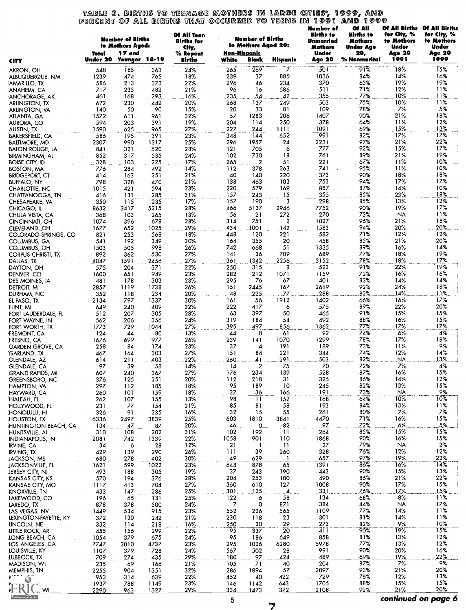# table 3. Births to teenage mothers in large cities, 1999, and<br>Percent of all births that occurred to teens in 1991 and 1999

|                                           | Total        | <b>Number of Births</b><br>to Mothers Aged:<br><b>17</b> and |                   | Of All Teen<br><b>Births</b> for<br>City,<br>% Repeat | Non-Hispanic           | <b>Number of Births</b><br>to Mothers Aged 20: |                         | <b>Number of</b><br><b>Births</b> to<br>Unmarried<br><b>Mothers</b><br>Under | <b>Of All</b><br><b>Births</b> to<br><b>Mothers</b><br><b>Under Age</b><br>20, | Of All Births<br>for City, %<br>to Mothers<br>Under<br>Age 20 | <b>Of All Births</b><br>for City, %<br>to Mothers<br>Under<br>Age 20 |
|-------------------------------------------|--------------|--------------------------------------------------------------|-------------------|-------------------------------------------------------|------------------------|------------------------------------------------|-------------------------|------------------------------------------------------------------------------|--------------------------------------------------------------------------------|---------------------------------------------------------------|----------------------------------------------------------------------|
| <b>CITY</b>                               | Under 20     | <b>Younger</b>                                               | 18-19             | <b>Births</b>                                         | White                  | Black                                          | Hispanic                | Age 20                                                                       | % Nonmarital                                                                   | 1991                                                          | 1999                                                                 |
| AKRON, OH<br>ALBUQUERQUE, NM              | 548<br>1239  | $-185$<br>474                                                | 363<br>765        | 24%<br>18%                                            | 265<br>239             | 269<br>37                                      | 7<br>885                | 501<br>1036                                                                  | 91%<br>84%                                                                     | 18%<br>14%                                                    | 15%<br>16%                                                           |
| AMARILLO, TX                              | 586          | 213                                                          | 373               | 22%                                                   | 296                    | 46                                             | 234                     | 370                                                                          | 63%                                                                            | 19%                                                           | 19%                                                                  |
| ANAHEIM, CA<br>ANCHORAGE, AK              | 717<br>461   | 235<br>168                                                   | 482<br>293        | 21%<br>16%                                            | 96<br>235              | 16<br>54                                       | 586<br>42               | 511<br>355                                                                   | 71%<br>77%                                                                     | 12%<br>10%                                                    | 11%<br>11%                                                           |
| ARLINGTON, TX                             | 672          | 230                                                          | 442               | 20%                                                   | 268                    | 137                                            | 249                     | 503                                                                          | 75%                                                                            | 10%                                                           | 11%                                                                  |
| ARLINGTON, VA                             | 140          | 50                                                           | 90                | 15%                                                   | 20                     | 33                                             | 81                      | 109                                                                          | 78%                                                                            | 7%                                                            | 5%                                                                   |
| ATLANTA, GA<br>AURORA, CO                 | 1572<br>594  | 611<br>203                                                   | 961<br>391        | 32%<br>19%                                            | 57<br>204              | 1283<br>114                                    | 206<br>250              | 1407<br>378                                                                  | 90%<br>64%                                                                     | 21%<br>11%                                                    | 18%<br>12%                                                           |
| AUSTIN, TX                                | 1590         | 625                                                          | 965               | 27%                                                   | 227                    | 244                                            | 1111                    | 1091                                                                         | 69%                                                                            | 15%                                                           | 13%                                                                  |
| BAKERSFIELD, CA                           | 586          | 195                                                          | 391               | 23%                                                   | 348                    | 144                                            | 652                     | 991<br>2231                                                                  | 82%<br>97%                                                                     | 17%<br>21%                                                    | 17%<br>22%                                                           |
| BALTIMORE, MD<br>BATON ROUGE, LA          | 2307<br>841  | 990<br>321                                                   | 1317<br>520       | 25%<br>28%                                            | 296<br>121             | 1957<br>705                                    | 24<br>6                 | 777                                                                          | 92%                                                                            | 15%                                                           | 17%                                                                  |
| <b>BIRMINGHAM, AL</b>                     | 852          | 317                                                          | 535               | 24%                                                   | 102                    | 730                                            | 18                      | 761                                                                          | 89%                                                                            | 21%                                                           | 19%                                                                  |
| boise city, id.<br><b>BOSTON, MA</b>      | 328<br>776   | 103<br>284                                                   | 225<br>492        | 17%<br>14%                                            | 265<br>112             | $\mathbf{2}$<br>378                            | 51<br>263               | 221<br>741                                                                   | 67%<br>95%                                                                     | 11%<br>11%                                                    | 10%<br>10%                                                           |
| <b>BRIDGEPORT, CT</b>                     | 414          | 163                                                          | 251               | 21%                                                   | 40                     | 140                                            | 220                     | 373                                                                          | 90%                                                                            | 18%                                                           | 18%                                                                  |
| <b>BUFFALO, NY</b>                        | 798          | 328                                                          | 470               | 21%                                                   | 138                    | 463                                            | 103                     | 753                                                                          | 94%                                                                            | 17%                                                           | 17%                                                                  |
| CHARLOTTE, NC<br>CHATTANOOGA, TN          | 1015<br>416  | 421<br>131                                                   | 594<br>285        | 23%<br>31%                                            | 220<br>157             | 579<br>243                                     | 169<br>$\overline{.}15$ | 887<br>355                                                                   | 87%<br>85%                                                                     | 14%<br>23%                                                    | 10%<br>18%                                                           |
| CHESAPEAKE, VA                            | 350          | 115                                                          | 235               | 17%                                                   | 157                    | 190                                            | $\bar{3}$               | 298                                                                          | 85%                                                                            | 13%                                                           | 12%                                                                  |
| CHICAGO, IL                               | 8632         | 3417                                                         | 5215              | 28%                                                   | 466                    | 5137                                           | 2946                    | 7752                                                                         | 90%                                                                            | 19%                                                           | 17%                                                                  |
| CHULA VISTA, CA<br>CINCINNATI, OH         | 368<br>1074  | 103<br>396                                                   | 265<br>678        | 13%<br>28%                                            | 56<br>314              | 21<br>751                                      | 272<br>$\overline{2}$   | 270<br>1027                                                                  | 73%<br>96%                                                                     | <b>NA</b><br>21%                                              | 11%<br>18%                                                           |
| CLEVELAND, OH                             | 1677         | .652                                                         | 1025              | 29%                                                   | 434                    | 1001                                           | 142                     | 1583                                                                         | 94%                                                                            | 20%                                                           | 20%                                                                  |
| COLORADO SPRINGS, CO                      | 821          | 253                                                          | 568               | 18%                                                   | 448                    | 120                                            | 221                     | 582<br>458                                                                   | 71%<br>85%                                                                     | 12%<br>21%                                                    | 12%<br>20%                                                           |
| COLUMBUS, GA<br>COLUMBUS, OH              | 541<br>1503  | 192<br>505                                                   | 349<br>998        | 30%<br>26%                                            | 164<br>742             | 355<br>668                                     | 20<br>51                | 1335                                                                         | 89%                                                                            | 16%                                                           | 14%                                                                  |
| CORPUS CHRISTI, TX                        | 892          | 362                                                          | 530               | 27%                                                   | 141                    | 36                                             | 709                     | 689                                                                          | 77%                                                                            | 18%                                                           | 19%                                                                  |
| DALLAS, TX<br>DAYTON, OH                  | 4047<br>575  | 1591<br>204                                                  | 2456<br>371       | 27%<br>22%                                            | 361<br>250             | 1342<br>315                                    | 2256<br>8               | 3152<br>523                                                                  | 78%<br>91%                                                                     | 18%<br>22%                                                    | 17%<br>19%                                                           |
| DENVER, CO                                | 1600         | 651                                                          | 949               | 23%                                                   | 282                    | 212                                            | 1071                    | 1159                                                                         | 72%                                                                            | 16%                                                           | 16%                                                                  |
| DES MOINES, IA                            | 481          | 178                                                          | 303               | 23%                                                   | 295                    | 76                                             | 67                      | 401                                                                          | 83%                                                                            | 14%                                                           | 14%                                                                  |
| <b>DETROIT, MI</b><br>DURHAM, NC          | 2857<br>352  | 1119<br>118                                                  | 1738<br>234       | 26%<br>20%                                            | 151<br>48              | 2445<br>225.                                   | 167<br><b>ZZ</b>        | 2619<br>288                                                                  | 92%<br>82%                                                                     | 24%<br>14%                                                    | 18%<br>11%                                                           |
| EL PASO, TX                               | 2134         | 797                                                          | 1337              | 30%                                                   | 161                    | 56                                             | 1912                    | 1402                                                                         | 66%                                                                            | 16%                                                           | 17%                                                                  |
| FLINT, MI                                 | 649          | 240                                                          | 409               | 32%                                                   | 222                    | 417                                            | 6                       | 575                                                                          | 89%                                                                            | 22%                                                           | 20%                                                                  |
| FORT LAUDERDALE, FL<br>FORT WAYNE, IN     | 512<br>562   | 207<br>206                                                   | 305<br>356        | 28%<br>24%                                            | 63<br>319              | 397<br>184                                     | 50<br>54                | 465<br>492                                                                   | 91%<br>88%                                                                     | 15%<br>16%                                                    | 15%<br>15%                                                           |
| FORT WORTH, TX                            | 1773         | 729                                                          | 1044              | 27%                                                   | 395                    | 497                                            | 856                     | 1362                                                                         | 77%                                                                            | 17%                                                           | 17%                                                                  |
| <b>FREMONT, CA</b>                        | 124          | 44<br>699                                                    | 80<br>977         | 13%<br>26%                                            | 44                     | 8<br>141                                       | 61<br>1070              | 92<br>1299                                                                   | 74%<br>78%                                                                     | 6%<br>17%                                                     | 4%<br>18%                                                            |
| FRESNO, CA<br><b>GARDEN GROVE, CA</b>     | 1676<br>258  | 84                                                           | 174               | 23%                                                   | 239<br>37              | 4                                              | 191                     | 189                                                                          | 73%                                                                            | 11%                                                           | 9%                                                                   |
| 'GARLAND. TX                              | 467          | 164                                                          | 303               | 27%                                                   | 151                    | 84                                             | 221                     | 344                                                                          | 74%                                                                            | 12%                                                           | 14%                                                                  |
| GLENDALE, AZ<br>GLENDALE, CA              | 614<br>97    | 211<br>39                                                    | 403<br>58         | 22%<br>14%                                            | 260<br>$\overline{14}$ | 41<br>$\overline{\mathbf{2}}$                  | 291<br>75               | 503<br>70                                                                    | 82%<br>72%                                                                     | NA.<br>7%                                                     | 13%<br>4%                                                            |
| <b>GRAND RAPIDS, MI</b>                   | 607          | 240                                                          | 367               | 27%                                                   | 176                    | 234                                            | 139                     | 528                                                                          | 87%                                                                            | 16%                                                           | 15%                                                                  |
| GREENSBORO, NC                            | 376          | 125                                                          | 251               | 20%                                                   | 112                    | 218                                            | 31                      | 325                                                                          | 86%                                                                            | 14%                                                           | 12%                                                                  |
| HAMPTON, VA<br>HAYWARD, CA                | 297<br>260   | 112<br>101                                                   | 185<br>159        | 18%<br>18%                                            | 95<br>37               | 189<br>36                                      | 10<br>166               | 245<br>191                                                                   | 82%<br>73%                                                                     | 13%<br><b>NA</b>                                              | 15%<br>9%                                                            |
| HIALEAH, FL                               | 262          | 107                                                          | 155               | 13%                                                   | 98                     | $\overline{11}$                                | $\overline{152}$        | 168                                                                          | 64%                                                                            | 10%                                                           | 10%                                                                  |
| <b>HOLLYWOOD, FL</b>                      | 231          | 77                                                           | 154               | 21%                                                   | 85                     | 81                                             | 58                      | 193                                                                          | 84%                                                                            | 13%                                                           | 11%                                                                  |
| <b>HONOLULU, HI</b><br><b>HOUSTON, TX</b> | 326<br>6336  | 91<br>2497                                                   | 235<br>3839       | 16%<br>25%                                            | 32<br>603              | 15<br>1810                                     | 55<br>3841              | 261<br>4470                                                                  | 80%<br>71%                                                                     | 7%<br>16%                                                     | 7%<br>15%                                                            |
| HUNTINGTON BEACH, CA                      | 134          | 47                                                           | .87               | 20%                                                   | 46                     | 0                                              | 82                      | .97                                                                          | 72%                                                                            | 6%                                                            | 5%                                                                   |
| HUNTSVILLE, AL                            | 310          | 108                                                          | 202<br>1339       | 31%<br>22%                                            | 102<br>1058            | 192<br>901                                     | $\overline{11}$<br>110  | 264<br>1868                                                                  | 85%<br>90%                                                                     | 15%<br>16%                                                    | 15%<br>15%                                                           |
| INDIANAPOLIS, IN<br><b>IRVINE, CA</b>     | 2081<br>34   | 742<br>6                                                     | 28                | 12%                                                   | 21                     | -1                                             | $\mathbf{H}$            | 27                                                                           | 79%                                                                            | <b>NA</b>                                                     | 2%                                                                   |
| <b>IRVING, TX</b>                         | 429          | 139                                                          | 290               | 26%                                                   | 111                    | 39                                             | 260                     | 328                                                                          | 76%                                                                            | 12%                                                           | 12%                                                                  |
| JACKSON, MS<br>JACKSONVILLE, FL           | 680<br>1621  | 278<br>599                                                   | 402<br>1022       | 30%<br>23%                                            | 49<br>648              | 629<br>878                                     | 65                      | 657<br>1391                                                                  | 97%<br>86%                                                                     | 19%<br>16%                                                    | 22%<br>14%                                                           |
| JERSEY CITY, NJ                           | 493          | 188                                                          | 305               | 19%                                                   | 37                     | 243                                            | 190                     | 443                                                                          | 90%                                                                            | 15%                                                           | 13%                                                                  |
| KANSAS CITY, KS                           | 570          | 194                                                          | 376               | 28%                                                   | 204                    | 253                                            | 100                     | 490                                                                          | 86%                                                                            | 21%                                                           | 22%                                                                  |
| KANSAS CITY, MO<br>KNOXVILLE, TN          | 1117<br>433  | 413<br>147                                                   | 704<br>286        | 27%<br>25%                                            | 360<br>301             | 610<br>125                                     | 127<br>Δ                | 1008<br>331                                                                  | 90%<br>76%                                                                     | 17%<br>17%                                                    | 15%<br>15%                                                           |
| LAKEWOOD, CO                              | 196          | 65                                                           | 131               | 25%                                                   | 122                    | 6                                              | 58                      | 134                                                                          | 68%                                                                            | 8%                                                            | 11%                                                                  |
| LAREDO, TX                                | 878          | 378                                                          | 500               | 24%                                                   | 7                      | $\mathbf 0$                                    | 871                     | 384                                                                          | 44%                                                                            | <b>NA</b>                                                     | 17%                                                                  |
| LAS VEGAS, NV<br>LEXINGTON-FAYETTE, KY    | 1449<br>372  | 534<br>130                                                   | 915<br>242        | 23%<br>21%                                            | 552<br>230             | 226<br>118                                     | 565<br>23               | 1109<br>301                                                                  | 77%<br>81%                                                                     | 14%<br>14%                                                    | 11%<br>11%                                                           |
| LINCOLN, NE                               | 332          | 114                                                          | 218               | 16%                                                   | 250                    | 30                                             | 29                      | 273                                                                          | 82%                                                                            | 9%                                                            | 10%                                                                  |
| LITTLE ROCK, AR                           | 455          | 156                                                          | $\bar{2}9\bar{9}$ | 22%                                                   | 95                     | 337                                            | 20                      | 41 I                                                                         | 90%<br>81%                                                                     | 19%<br>13%                                                    | 15%                                                                  |
| <b>IONG BEACH, CA</b><br>LOS ANGELES, CA  | 1054<br>7747 | 379<br>3010                                                  | 675<br>4737       | 24%<br>23%                                            | 95<br>295              | 186<br>1026                                    | 649<br>6280             | 858<br>5978                                                                  | 77%                                                                            | 13%                                                           | 12%<br>12%                                                           |
| LOUISVILLE, KY                            | 1107         | 379                                                          | 728               | 24%                                                   | 567                    | 502                                            | 28                      | 991                                                                          | 90%                                                                            | 20%                                                           | 16%                                                                  |
| LUBBOCK, TX                               | 709          | 274                                                          | 435               | 29%                                                   | 180                    | 97                                             | 424                     | 489                                                                          | 69%<br>87%                                                                     | 19%<br>7%                                                     | 22%<br>9%                                                            |
| <b>MADISON, WI</b><br>MEMPHIS, TN         | 235<br>2255  | 69<br>904                                                    | 166<br>1351       | 21%<br>32%                                            | 105<br>286             | 71<br>1894                                     | 40<br>57                | 204<br>2097                                                                  | 93%                                                                            | 21%                                                           | 20%                                                                  |
| Are A<br>$\ddot{\text{o}}$                | 953          | 314                                                          | 639               | 22%                                                   | 452                    | 40                                             | 422                     | 729                                                                          | 76%                                                                            | 12%                                                           | 13%                                                                  |
| WI                                        | 1937<br>2290 | 788<br>963                                                   | 1149<br>1327      | 23%<br>29%                                            | 146<br>334             | 1142<br>1473                                   | 643<br>372              | 1705<br>2108                                                                 | 88%<br>92%                                                                     | 15%<br>21%                                                    | 15%<br>20%                                                           |
|                                           |              |                                                              |                   |                                                       | $\mathbf{r}$           |                                                |                         |                                                                              |                                                                                |                                                               | continued on page 6                                                  |

 $\overline{7}$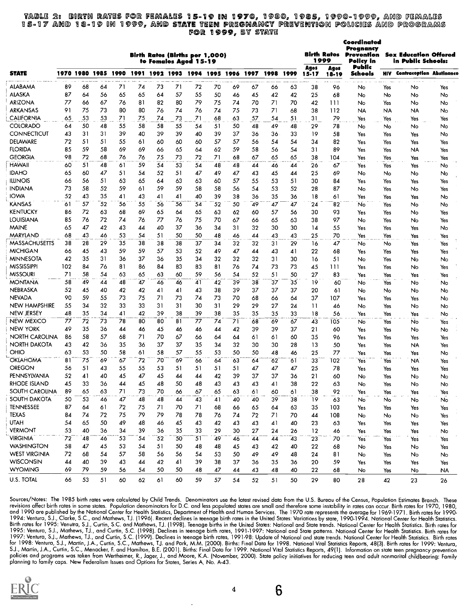#### MOIR 2: 15-17 and 18-19 in 1999, Birth Rates for Females 15-19 in 1970, 1930, 1985, 1990 18-19 In 1999, and <mark>state t</mark>een pregnancy prevention pol FOR 9, SY STAYS 5, 99DO-99D9, policies and pro , and females<br>and programs

Coordinated

|                       |     | Birth Rates (Births per 1,000)<br>to Females Aged 15-19 |                |          |    |                |    |    |    |                |      |      |                 |                   | Birth Rates<br>1999 | Pregnancy<br>Prevention<br>Policy in | <b>Sex Education Offered</b><br>in Public Schools: |                                     |     |  |
|-----------------------|-----|---------------------------------------------------------|----------------|----------|----|----------------|----|----|----|----------------|------|------|-----------------|-------------------|---------------------|--------------------------------------|----------------------------------------------------|-------------------------------------|-----|--|
| <b>STATE</b>          |     |                                                         | 1970 1980 1985 | 1990     |    | 1991 1992 1993 |    |    |    | 1994 1995 1996 | 1997 | 1998 | 1999            | Ages<br>$15 - 17$ | Ages<br>18-19       | Public<br>Schools                    |                                                    | <b>HIV Contraception Abstinence</b> |     |  |
| ALABAMA               | 89  | 68                                                      | 64             | 71       | 74 | 73             | 71 | 72 | 70 | 69             | 67   | 66   | 63              | 38                | 96                  | No                                   | Yes                                                | No                                  | Yes |  |
| <b>ALASKA</b>         | 87  | 64                                                      | 56             | 65       | 65 | 64             | 57 | 55 | 50 | 46             | 45   | 42   | 42              | 25                | 68                  | No                                   | No                                                 | No                                  | No  |  |
| <b>ARIZONA</b>        | 77  | 66                                                      | 67             | 76       | 81 | 82             | 80 | 79 | 75 | 74             | 70   | 71   | 70              | 42                | 111                 | No                                   | Yes                                                | No                                  | No  |  |
| <b>ARKANSAS</b>       | 91  | 75                                                      | 73             | 80       | 80 | 76             | 74 | 76 | 74 | 75             | 73   | 71   | 68              | 38                | 112                 | NA                                   | NA                                                 | <b>NA</b>                           | No  |  |
| <b>CALIFORNIA</b>     | 65  | 53                                                      | 53             | 71       | 75 | 74             | 73 | 71 | 68 | 63             | 57   | 54   | 51              | 31                | 79                  | Yes                                  | Yes                                                | Yes                                 | Yes |  |
| <b>COLORADO</b>       | 64  | 50                                                      | 48             | 55       | 58 | 58             | 55 | 54 | 51 | 50             | 48   | 49   | 48              | 29                | 78                  | No                                   | No                                                 | No                                  | No  |  |
| CONNECTICUT           | 43  | 31                                                      | 31             | 39       | 40 | 39             | 39 | 40 | 39 | 37             | 36   | 36   | 33              | 19                | 58                  | Yes                                  | Yes                                                | Yes                                 | No  |  |
| DELAWARE              | 72  | 51                                                      | 51             | 55       | 61 | 60             | 60 | 60 | 57 | 57             | 56   | 54   | 54              | 34                | 82                  | Yes                                  | Yes                                                | Yes                                 | Yes |  |
| <b>FLORIDA</b>        | 85  | 59                                                      | 58             | 69       | 69 | 66             | 65 | 64 | 62 | 59             | 58   | 56   | 54              | 31                | 89                  | Yes                                  | Yes                                                | NA                                  | Yes |  |
| <b>GEORGIA</b>        | 98  | 72                                                      | 68             | 76       | 76 | 75             | 73 | 72 | 71 | 68             | 67   | 65   | 65              | 38                | 104                 | Yes                                  | Yes                                                | Yes                                 | Yes |  |
| <b>HAWAII</b>         | 60  | 51                                                      | 48             | 61       | 59 | 54             | 53 | 54 | 48 | 48             | 44   | 46   | 44              | 26                | 67                  |                                      |                                                    |                                     |     |  |
| <b>IDAHO</b>          | 65  | 60                                                      | 47             | 51       | 54 | 52             | 51 | 47 | 49 | 47             | 43   | 45   | 44              | 25                | 69                  | Yes<br>No                            | Yes                                                | Yes                                 | No  |  |
| <b>ILLINOIS</b>       | 66  | 56                                                      | -51            | 63       | 65 | 64             | 63 | 63 | 60 | 57             |      |      | 51              | 30                |                     |                                      | No                                                 | No                                  | No  |  |
|                       | 73  |                                                         | 52             |          |    |                | 59 |    |    |                | 55   | 53   |                 |                   | 84                  | Yes                                  | Yes                                                | Yes                                 | Yes |  |
| <b>INDIANA</b>        |     | 58                                                      |                | 59       | 61 | 59             |    | 58 | 58 | 56             | 54   | 53   | 52              | 28                | 87                  | No                                   | Yes                                                | No                                  | Yes |  |
| <b>IOWA</b>           | 52  | 43                                                      | 35             | 41       | 43 | 41             | 41 | 40 | 39 | 38             | 36   | 35   | 36              | 18                | 61                  | Yes                                  | Yes                                                | Yes                                 | No  |  |
| KANSAS                | 61  | 57                                                      | 52             | 56       | 55 | 56             | 36 | 54 | 52 | 50             | 49   | 47   | 47              | 24                | 82                  | No                                   | Yes                                                | No                                  | No  |  |
| <b>KENTUCKY</b>       | 86  | 72                                                      | 63             | 68       | 69 | 65             | 64 | 65 | 63 | 62             | 60   | 57   | 56              | 30                | 93                  | Yes                                  | Yes                                                | No                                  | Yes |  |
| <b>LOUISIANA</b>      | 85  | 76                                                      | 72             | 74       | 76 | 77             | 76 | 75 | 70 | 67             | 66   | 65   | 63              | 38                | 97                  | No                                   | Yes                                                | No                                  | Yes |  |
| <b>MAINE</b>          | 65  | 47                                                      | 42             | 43       | 44 | 40             | 37 | 36 | 34 | 31             | 32   | 30   | 30              | 14                | 55                  | Yes                                  | Yes                                                | Yes                                 | No  |  |
| <b>MARYLAND</b>       | 68  | 43                                                      | 46             | 53       | 54 | 51             | 50 | 50 | 48 | 46             | 44   | 43   | 43              | 25                | 70                  | Yes                                  | Yes                                                | Yes                                 | Yes |  |
| MASSACHUSETTS         | 38  | 28                                                      | 29             | 35       | 38 | 38             | 38 | 37 | 34 | 32             | 32   | 31   | 29              | 16                | 47                  | No                                   | No                                                 | Yes                                 | Yes |  |
| <b>MICHIGAN</b>       | 66  | 45                                                      | 43             | 59       | 59 | 57             | 53 | 52 | 49 | 47             | 44   | 43   | 41              | 22                | 68                  | Yes                                  | Yes                                                | Yes                                 | Yes |  |
| <b>MINNESOTA</b>      | 42  | 35                                                      | 31             | 36       | 37 | 36             | 35 | 34 | 32 | 32             | 32   | 31   | 30              | 16                | 51                  | No                                   | Yes                                                | No                                  | No  |  |
| MISSISSIPPI           | 102 | 84                                                      | 76             | 81       | 86 | 84             | 83 | 83 | 81 | 76             | 74   | 73   | 73              | 45                | 111                 | Yes                                  | Yes                                                | No                                  | Yes |  |
| <b>MISSOURI</b>       | 71  | 58                                                      | 54             | 63       | 65 | 63             | 60 | 59 | 56 | 54             | 52   | 51   | 50              | 27                | 83                  | Yes                                  | Yes                                                | Yes                                 | Yes |  |
| <b>MONTANA</b>        | 58  | 49                                                      | 44             | 48       | 47 | 46             | 46 | 41 | 42 | 39             | 38   | 37   | 35              | 19                | 60                  | No                                   | Yes                                                | No                                  | No  |  |
| NEBRASKA              | 52  | 45                                                      | 40             | 42       | 42 | 41             | 41 | 43 | 38 | 39             | 37   | 37   | 37              | 20                | 61                  | No                                   | No                                                 | No                                  | No  |  |
| NEVADA                | 90  | 59                                                      | 55             | 73       | 75 | 71             | 73 | 74 | 73 | 70             | 68   | 66   | 64              | 37                | 107                 | Yes                                  | Yes                                                | Yes                                 | No  |  |
| NEW HAMPSHIRE         | 55  | 34                                                      | 32             | 33       | 33 | 31             | 31 | 30 | 31 | 29             | 29   | 27   | 24              | 11                | 46                  | No                                   | Yes                                                | No                                  | No  |  |
| NEW JERSEY            | 48  | 35                                                      | 34             | 41       | 42 | 39             | 38 | 39 | 38 | 35             | 35   | 35   | 33              | 18                | 56                  | Yes                                  | Yes                                                | Yes                                 | No  |  |
| <b>NEW MEXICO</b>     | 77  | 72                                                      | 73             | 78       | 80 | 80             | 81 | 77 | 74 | 71             | 68   | 69   | 67              | 43                | 105                 | No                                   | Yes                                                | No                                  | Yes |  |
| NEW YORK              | 49  | 35                                                      | 36             | 44       | 46 | 45             | 46 | 46 | 44 | 42             | 39   | 39   | 37              | 21                | 60                  | Yes                                  | Yes                                                | No                                  | No  |  |
| <b>NORTH CAROLINA</b> | 86  | 58                                                      | 57             | 68       | 71 | 70             | 67 | 66 | 64 | 64             | 61   | 61   | 60              | 35                | 96                  | Yes                                  | Yes                                                | Yes                                 | Yes |  |
| NORTH DAKOTA          | 43  | 42                                                      | 36             | 35       | 36 | 37             | 37 | 35 | 34 | 32             | 30   | 30   | 28              | 13                | 50                  | Yes                                  | Yes                                                | NA                                  | Yes |  |
| OHIO                  | 63  | 53                                                      | 50             | 58       | 61 | 58             | 57 | 55 | 53 | 50             | 50   | 48   | 46              | 25                | 77                  | Yes                                  | Yes                                                | Yes                                 | No  |  |
| <b>OKLAHOMA</b>       | 81  | 75                                                      | 69             | 67       | 72 | 70             | 69 | 66 | 64 | 63             | 64   | 62   | 61              | 33                | 102                 | Yes                                  | Yes                                                | NA                                  |     |  |
| OREGON                | 56  | 51                                                      | 43             | 55       | 55 | 53             | 51 | 51 | 51 | 51             | 47   | 47   | 47              | 25                | 78                  |                                      |                                                    |                                     | Yes |  |
| PENNSYLVANIA          | 52  | 41                                                      | 40             | 45       | 47 | 45             | 44 |    | 42 | 39             | 37   | 37   |                 |                   |                     | Yes                                  | Yes                                                | Yes                                 | Yes |  |
|                       | 45  |                                                         |                |          |    |                |    | 44 |    |                |      |      | 36              | 21                | 60                  | No                                   | Yes                                                | No                                  | No  |  |
| RHODE ISLAND          |     | 33                                                      | 36             | 44<br>71 | 45 | 48<br>70       | 50 | 48 | 43 | 43             | 43   | 41   | 38              | 22                | 63                  | No                                   | Yes                                                | No                                  | No  |  |
| SOUTH CAROLINA        | 89  | 65                                                      | 63             |          | 73 |                | 66 | 67 | 65 | 63             | 61   | 60   | 61              | 38                | 92                  | Yes                                  | Yes                                                | Yes                                 | Yes |  |
| <b>SOUTH DAKOTA</b>   | 50  | 53                                                      | 46             | 47       | 48 | 48             | 44 | 43 | 41 | 40             | 40   | 39   | 38              | $\overline{19}$   | 63                  | No                                   | No                                                 | No                                  | No  |  |
| <b>TENNESSEE</b>      | 87  | 64                                                      | 61             | 72       | 75 | 71             | 70 | 71 | 68 | 66             | 65   | 64   | 63              | 35                | 103                 | Yes                                  | Yes                                                | Yes                                 | Yes |  |
| <b>TEXAS</b>          | 84  | 74                                                      | 72             | 75       | 79 | 79             | 78 | 78 | 76 | 74             | 72   | 71   | 70              | 44                | 108                 | No                                   | No                                                 | No                                  | Yes |  |
| <b>UTAH</b>           | 54  | 65                                                      | 50             | 49       | 48 | 46             | 45 | 43 | 42 | 43             | 43   | 41   | 40              | 23                | 63                  | Yes                                  | Yes                                                | Yes                                 | Yes |  |
| <b>VERMONT</b>        | 53  | 40                                                      | 36             | 34       | 39 | 36             | 35 | 33 | 29 | 30             | 27   | 24   | 26              | 12                | 46                  | Yes                                  | Yes                                                | Yes                                 | No  |  |
| <b>VIRGINIA</b>       | 72  | 48                                                      | 46             | 53       | 54 | 52             | 50 | 51 | 49 | 46             | 44   | 44   | $\overline{43}$ | 23                | 70                  | Yes                                  | Yes                                                | Yes                                 | Yes |  |
| <b>WASHINGTON</b>     | 58  | 47                                                      | 45             | 53       | 54 | 51             | 50 | 48 | 48 | 45             | 43   | 42   | 40              | 22                | 68                  | No                                   | Yes                                                | No                                  | Yes |  |
| <b>WEST VIRGINIA</b>  | 72  | 68                                                      | 54             | 57       | 58 | 56             | 56 | 54 | 53 | 50             | 49   | 49   | 48              | 24                | 81                  | No                                   | Yes                                                | No                                  | No  |  |
| <b>WISCONSIN</b>      | 44  | 40                                                      | 39             | 43       | 44 | 42             | 41 | 39 | 38 | 37             | 36   | 35   | 36              | 20                | 59                  | Yes                                  | Yes                                                | Yes                                 | Yes |  |
| <b>WYOMING</b>        | 69  | 79                                                      | 59             | 56       | 54 | 50             | 50 | 48 | 47 | 44             | 43   | 48   | 40              | 22                | 68                  | No                                   | Yes                                                | No                                  | NA  |  |
| U.S. TOTAL            | 66  | 53                                                      | 51             | 60       | 62 | 61             | 60 | 59 | 57 | 54             | 52   | 51   |                 | 29                | 80                  |                                      |                                                    |                                     |     |  |
|                       |     |                                                         |                |          |    |                |    |    |    |                |      |      | 50              |                   |                     | 28                                   | 42                                                 | 23                                  | 26  |  |

Sources/Notes: The 1985 birth rates were calculated by Child Trends. Denominators use the latest revised data from the U.S. Bureau of the Census, Population Estimates Branch. These revisions affect birth rates in some stat for 1998: Ventura, S.J., Martin, J.A., Curtin, S.C., Mathews, T.J. and Park, M.M. (2000). Births: Final Data for 1998. National Vital Statistics Reports, 48(3). Birth rates for 1999: Ventura,<br>S.J., Martin, J.A., Curtin, S.



4

6